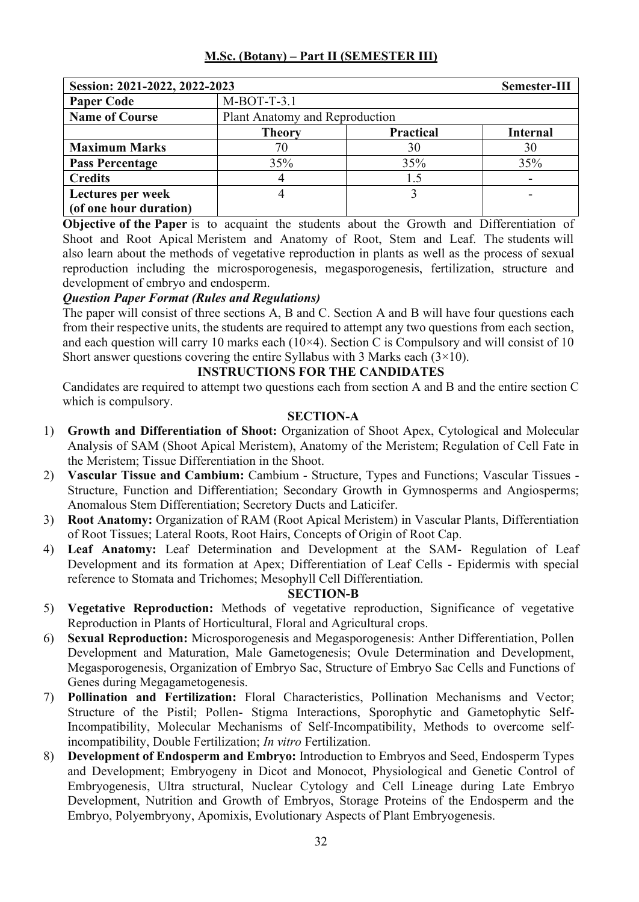| Session: 2021-2022, 2022-2023 |               |                                | Semester-III    |  |
|-------------------------------|---------------|--------------------------------|-----------------|--|
| <b>Paper Code</b>             | $M-BOT-T-3.1$ |                                |                 |  |
| <b>Name of Course</b>         |               | Plant Anatomy and Reproduction |                 |  |
|                               | <b>Theory</b> | <b>Practical</b>               | <b>Internal</b> |  |
| <b>Maximum Marks</b>          | 70            | 30                             | 30              |  |
| <b>Pass Percentage</b>        | 35%           | 35%                            | 35%             |  |
| <b>Credits</b>                |               | 1.5                            |                 |  |
| Lectures per week             |               |                                |                 |  |
| (of one hour duration)        |               |                                |                 |  |

**Objective of the Paper** is to acquaint the students about the Growth and Differentiation of Shoot and Root Apical Meristem and Anatomy of Root, Stem and Leaf. The students will also learn about the methods of vegetative reproduction in plants as well as the process of sexual reproduction including the microsporogenesis, megasporogenesis, fertilization, structure and development of embryo and endosperm.

## *Question Paper Format (Rules and Regulations)*

The paper will consist of three sections A, B and C. Section A and B will have four questions each from their respective units, the students are required to attempt any two questions from each section, and each question will carry 10 marks each ( $10\times4$ ). Section C is Compulsory and will consist of 10 Short answer questions covering the entire Syllabus with 3 Marks each  $(3 \times 10)$ .

#### **INSTRUCTIONS FOR THE CANDIDATES**

Candidates are required to attempt two questions each from section A and B and the entire section C which is compulsory.

## **SECTION-A**

- 1) **Growth and Differentiation of Shoot:** Organization of Shoot Apex, Cytological and Molecular Analysis of SAM (Shoot Apical Meristem), Anatomy of the Meristem; Regulation of Cell Fate in the Meristem; Tissue Differentiation in the Shoot.
- 2) **Vascular Tissue and Cambium:** Cambium Structure, Types and Functions; Vascular Tissues Structure, Function and Differentiation; Secondary Growth in Gymnosperms and Angiosperms; Anomalous Stem Differentiation; Secretory Ducts and Laticifer.
- 3) **Root Anatomy:** Organization of RAM (Root Apical Meristem) in Vascular Plants, Differentiation of Root Tissues; Lateral Roots, Root Hairs, Concepts of Origin of Root Cap.
- 4) **Leaf Anatomy:** Leaf Determination and Development at the SAM- Regulation of Leaf Development and its formation at Apex; Differentiation of Leaf Cells - Epidermis with special reference to Stomata and Trichomes; Mesophyll Cell Differentiation.

- 5) **Vegetative Reproduction:** Methods of vegetative reproduction, Significance of vegetative Reproduction in Plants of Horticultural, Floral and Agricultural crops.
- 6) **Sexual Reproduction:** Microsporogenesis and Megasporogenesis: Anther Differentiation, Pollen Development and Maturation, Male Gametogenesis; Ovule Determination and Development, Megasporogenesis, Organization of Embryo Sac, Structure of Embryo Sac Cells and Functions of Genes during Megagametogenesis.
- 7) **Pollination and Fertilization:** Floral Characteristics, Pollination Mechanisms and Vector; Structure of the Pistil; Pollen- Stigma Interactions, Sporophytic and Gametophytic Self-Incompatibility, Molecular Mechanisms of Self-Incompatibility, Methods to overcome selfincompatibility, Double Fertilization; *In vitro* Fertilization.
- 8) **Development of Endosperm and Embryo:** Introduction to Embryos and Seed, Endosperm Types and Development; Embryogeny in Dicot and Monocot, Physiological and Genetic Control of Embryogenesis, Ultra structural, Nuclear Cytology and Cell Lineage during Late Embryo Development, Nutrition and Growth of Embryos, Storage Proteins of the Endosperm and the Embryo, Polyembryony, Apomixis, Evolutionary Aspects of Plant Embryogenesis.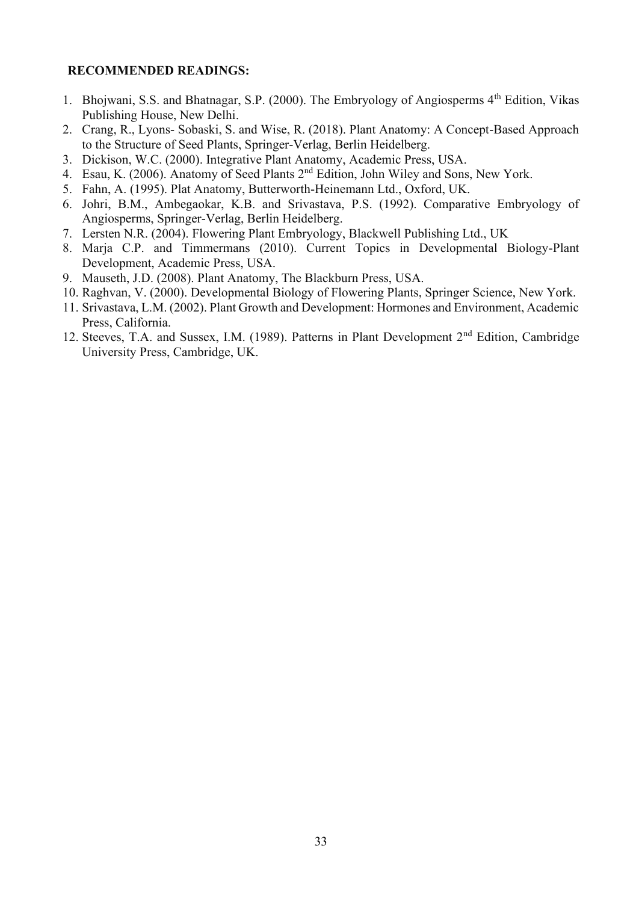- 1. Bhojwani, S.S. and Bhatnagar, S.P. (2000). The Embryology of Angiosperms 4<sup>th</sup> Edition, Vikas Publishing House, New Delhi.
- 2. Crang, R., Lyons- Sobaski, S. and Wise, R. (2018). Plant Anatomy: A Concept-Based Approach to the Structure of Seed Plants, Springer-Verlag, Berlin Heidelberg.
- 3. Dickison, W.C. (2000). Integrative Plant Anatomy, Academic Press, USA.
- 4. Esau, K. (2006). Anatomy of Seed Plants 2nd Edition, John Wiley and Sons, New York.
- 5. Fahn, A. (1995). Plat Anatomy, Butterworth-Heinemann Ltd., Oxford, UK.
- 6. Johri, B.M., Ambegaokar, K.B. and Srivastava, P.S. (1992). Comparative Embryology of Angiosperms, Springer-Verlag, Berlin Heidelberg.
- 7. Lersten N.R. (2004). Flowering Plant Embryology, Blackwell Publishing Ltd., UK
- 8. Marja C.P. and Timmermans (2010). Current Topics in Developmental Biology-Plant Development, Academic Press, USA.
- 9. Mauseth, J.D. (2008). Plant Anatomy, The Blackburn Press, USA.
- 10. Raghvan, V. (2000). Developmental Biology of Flowering Plants, Springer Science, New York.
- 11. Srivastava, L.M. (2002). Plant Growth and Development: Hormones and Environment, Academic Press, California.
- 12. Steeves, T.A. and Sussex, I.M. (1989). Patterns in Plant Development 2<sup>nd</sup> Edition, Cambridge University Press, Cambridge, UK.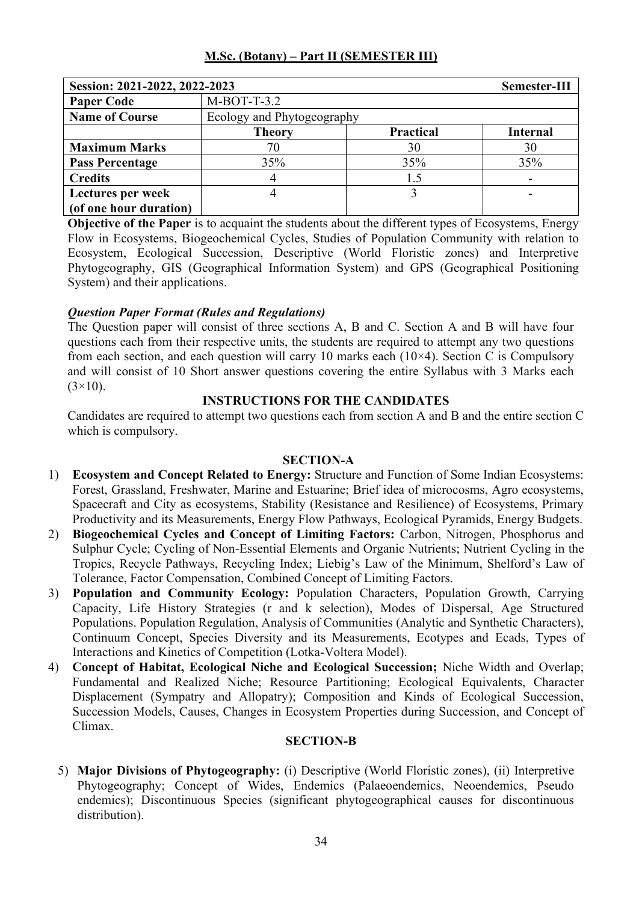| Session: 2021-2022, 2022-2023 |                            |                  | Semester-III    |  |
|-------------------------------|----------------------------|------------------|-----------------|--|
| <b>Paper Code</b>             | $M-BOT-T-3.2$              |                  |                 |  |
| <b>Name of Course</b>         | Ecology and Phytogeography |                  |                 |  |
|                               | <b>Theory</b>              | <b>Practical</b> | <b>Internal</b> |  |
| <b>Maximum Marks</b>          | 70                         | 30               | 30              |  |
| <b>Pass Percentage</b>        | 35%                        | 35%              | 35%             |  |
| <b>Credits</b>                |                            | 1.5              |                 |  |
| Lectures per week             |                            |                  |                 |  |
| (of one hour duration)        |                            |                  |                 |  |

**Objective of the Paper** is to acquaint the students about the different types of Ecosystems, Energy Flow in Ecosystems, Biogeochemical Cycles, Studies of Population Community with relation to Ecosystem, Ecological Succession, Descriptive (World Floristic zones) and Interpretive Phytogeography, GIS (Geographical Information System) and GPS (Geographical Positioning System) and their applications.

## *Question Paper Format (Rules and Regulations)*

The Question paper will consist of three sections A, B and C. Section A and B will have four questions each from their respective units, the students are required to attempt any two questions from each section, and each question will carry 10 marks each  $(10\times4)$ . Section C is Compulsory and will consist of 10 Short answer questions covering the entire Syllabus with 3 Marks each  $(3\times10)$ .

#### **INSTRUCTIONS FOR THE CANDIDATES**

Candidates are required to attempt two questions each from section A and B and the entire section C which is compulsory.

#### **SECTION-A**

- 1) **Ecosystem and Concept Related to Energy:** Structure and Function of Some Indian Ecosystems: Forest, Grassland, Freshwater, Marine and Estuarine; Brief idea of microcosms, Agro ecosystems, Spacecraft and City as ecosystems, Stability (Resistance and Resilience) of Ecosystems, Primary Productivity and its Measurements, Energy Flow Pathways, Ecological Pyramids, Energy Budgets.
- 2) **Biogeochemical Cycles and Concept of Limiting Factors:** Carbon, Nitrogen, Phosphorus and Sulphur Cycle; Cycling of Non-Essential Elements and Organic Nutrients; Nutrient Cycling in the Tropics, Recycle Pathways, Recycling Index; Liebig's Law of the Minimum, Shelford's Law of Tolerance, Factor Compensation, Combined Concept of Limiting Factors.
- 3) **Population and Community Ecology:** Population Characters, Population Growth, Carrying Capacity, Life History Strategies (r and k selection), Modes of Dispersal, Age Structured Populations. Population Regulation, Analysis of Communities (Analytic and Synthetic Characters), Continuum Concept, Species Diversity and its Measurements, Ecotypes and Ecads, Types of Interactions and Kinetics of Competition (Lotka-Voltera Model).
- 4) **Concept of Habitat, Ecological Niche and Ecological Succession;** Niche Width and Overlap; Fundamental and Realized Niche; Resource Partitioning; Ecological Equivalents, Character Displacement (Sympatry and Allopatry); Composition and Kinds of Ecological Succession, Succession Models, Causes, Changes in Ecosystem Properties during Succession, and Concept of Climax.

## **SECTION-B**

5) **Major Divisions of Phytogeography:** (i) Descriptive (World Floristic zones), (ii) Interpretive Phytogeography; Concept of Wides, Endemics (Palaeoendemics, Neoendemics, Pseudo endemics); Discontinuous Species (significant phytogeographical causes for discontinuous distribution).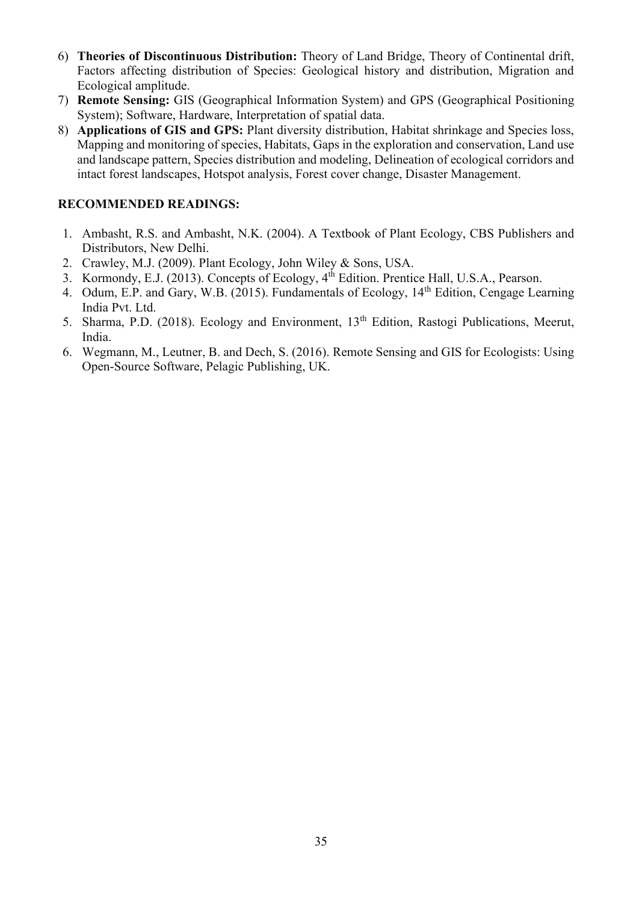- 6) **Theories of Discontinuous Distribution:** Theory of Land Bridge, Theory of Continental drift, Factors affecting distribution of Species: Geological history and distribution, Migration and Ecological amplitude.
- 7) **Remote Sensing:** GIS (Geographical Information System) and GPS (Geographical Positioning System); Software, Hardware, Interpretation of spatial data.
- 8) **Applications of GIS and GPS:** Plant diversity distribution, Habitat shrinkage and Species loss, Mapping and monitoring of species, Habitats, Gaps in the exploration and conservation, Land use and landscape pattern, Species distribution and modeling, Delineation of ecological corridors and intact forest landscapes, Hotspot analysis, Forest cover change, Disaster Management.

- 1. Ambasht, R.S. and Ambasht, N.K. (2004). A Textbook of Plant Ecology, CBS Publishers and Distributors, New Delhi.
- 2. Crawley, M.J. (2009). Plant Ecology, John Wiley & Sons, USA.
- 3. Kormondy, E.J. (2013). Concepts of Ecology, 4th Edition. Prentice Hall, U.S.A., Pearson.
- 4. Odum, E.P. and Gary, W.B. (2015). Fundamentals of Ecology, 14th Edition, Cengage Learning India Pvt. Ltd.
- 5. Sharma, P.D. (2018). Ecology and Environment, 13th Edition, Rastogi Publications, Meerut, India.
- 6. Wegmann, M., Leutner, B. and Dech, S. (2016). Remote Sensing and GIS for Ecologists: Using Open-Source Software, Pelagic Publishing, UK.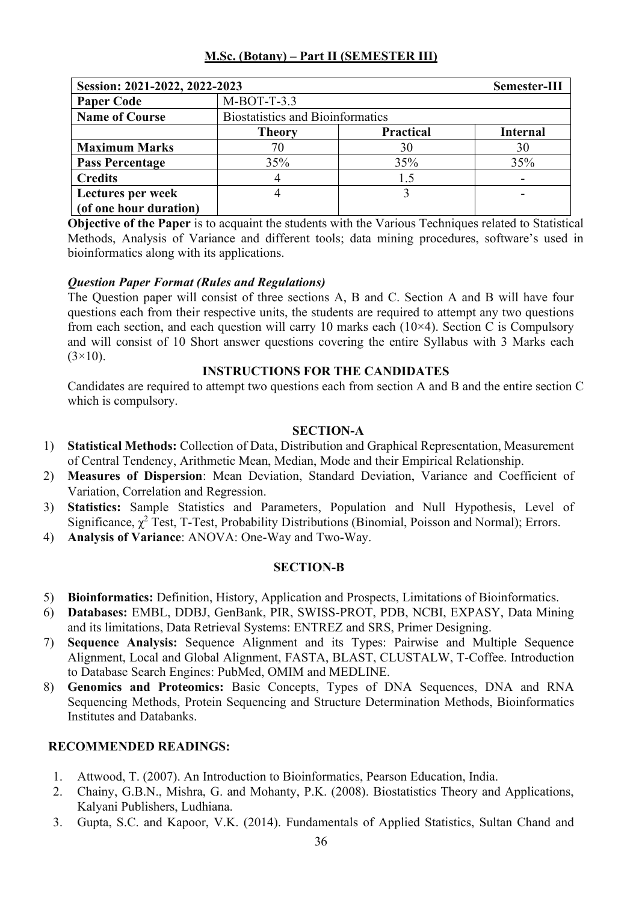| Session: 2021-2022, 2022-2023 |                                         |                  | Semester-III    |
|-------------------------------|-----------------------------------------|------------------|-----------------|
| <b>Paper Code</b>             | $M-BOT-T-3.3$                           |                  |                 |
| <b>Name of Course</b>         | <b>Biostatistics and Bioinformatics</b> |                  |                 |
|                               | <b>Theory</b>                           | <b>Practical</b> | <b>Internal</b> |
| <b>Maximum Marks</b>          | 70                                      | 30               | 30              |
| <b>Pass Percentage</b>        | 35%                                     | 35%              | 35%             |
| <b>Credits</b>                |                                         | 1.5              |                 |
| Lectures per week             |                                         |                  |                 |
| (of one hour duration)        |                                         |                  |                 |

**Objective of the Paper** is to acquaint the students with the Various Techniques related to Statistical Methods, Analysis of Variance and different tools; data mining procedures, software's used in bioinformatics along with its applications.

## *Question Paper Format (Rules and Regulations)*

The Question paper will consist of three sections A, B and C. Section A and B will have four questions each from their respective units, the students are required to attempt any two questions from each section, and each question will carry 10 marks each  $(10\times4)$ . Section C is Compulsory and will consist of 10 Short answer questions covering the entire Syllabus with 3 Marks each  $(3\times10)$ .

## **INSTRUCTIONS FOR THE CANDIDATES**

Candidates are required to attempt two questions each from section A and B and the entire section C which is compulsory.

#### **SECTION-A**

- 1) **Statistical Methods:** Collection of Data, Distribution and Graphical Representation, Measurement of Central Tendency, Arithmetic Mean, Median, Mode and their Empirical Relationship.
- 2) **Measures of Dispersion**: Mean Deviation, Standard Deviation, Variance and Coefficient of Variation, Correlation and Regression.
- 3) **Statistics:** Sample Statistics and Parameters, Population and Null Hypothesis, Level of Significance,  $\chi^2$  Test, T-Test, Probability Distributions (Binomial, Poisson and Normal); Errors.
- 4) **Analysis of Variance**: ANOVA: One-Way and Two-Way.

#### **SECTION-B**

- 5) **Bioinformatics:** Definition, History, Application and Prospects, Limitations of Bioinformatics.
- 6) **Databases:** EMBL, DDBJ, GenBank, PIR, SWISS-PROT, PDB, NCBI, EXPASY, Data Mining and its limitations, Data Retrieval Systems: ENTREZ and SRS, Primer Designing.
- 7) **Sequence Analysis:** Sequence Alignment and its Types: Pairwise and Multiple Sequence Alignment, Local and Global Alignment, FASTA, BLAST, CLUSTALW, T-Coffee. Introduction to Database Search Engines: PubMed, OMIM and MEDLINE.
- 8) **Genomics and Proteomics:** Basic Concepts, Types of DNA Sequences, DNA and RNA Sequencing Methods, Protein Sequencing and Structure Determination Methods, Bioinformatics Institutes and Databanks.

- 1. Attwood, T. (2007). An Introduction to Bioinformatics, Pearson Education, India.
- 2. Chainy, G.B.N., Mishra, G. and Mohanty, P.K. (2008). Biostatistics Theory and Applications, Kalyani Publishers, Ludhiana.
- 3. Gupta, S.C. and Kapoor, V.K. (2014). Fundamentals of Applied Statistics, Sultan Chand and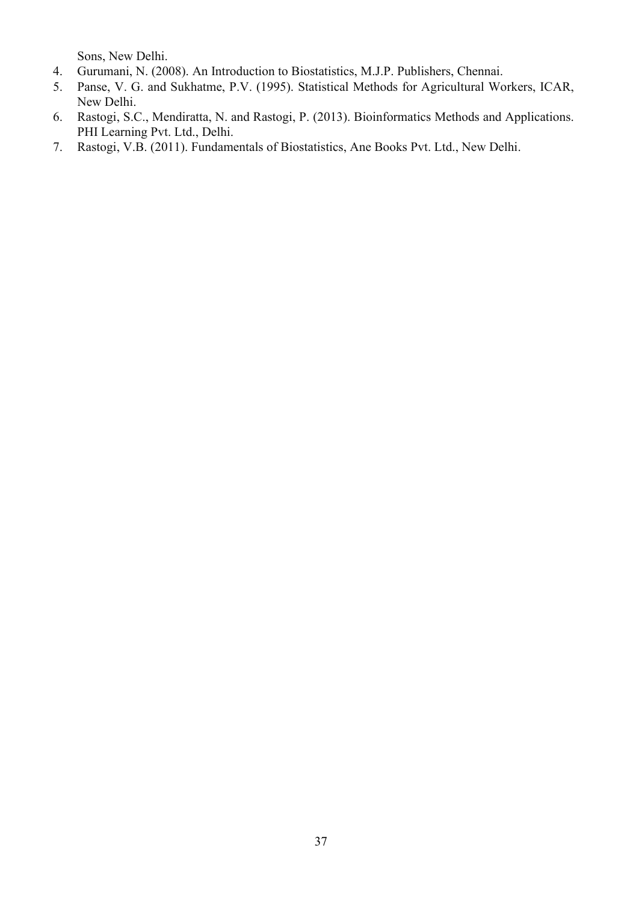Sons, New Delhi.

- 4. Gurumani, N. (2008). An Introduction to Biostatistics, M.J.P. Publishers, Chennai.
- 5. Panse, V. G. and Sukhatme, P.V. (1995). Statistical Methods for Agricultural Workers, ICAR, New Delhi.
- 6. Rastogi, S.C., Mendiratta, N. and Rastogi, P. (2013). Bioinformatics Methods and Applications. PHI Learning Pvt. Ltd., Delhi.
- 7. Rastogi, V.B. (2011). Fundamentals of Biostatistics, Ane Books Pvt. Ltd., New Delhi.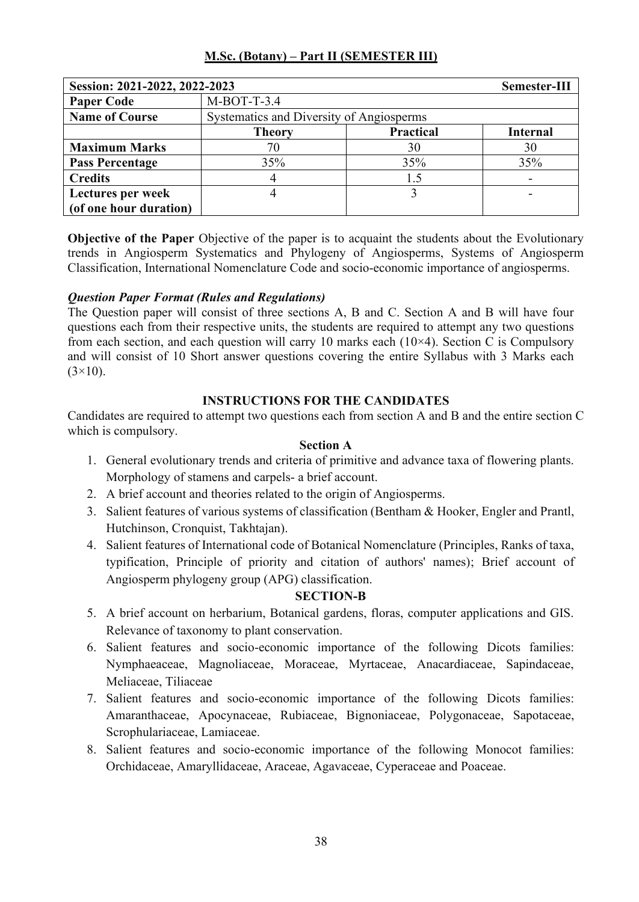| Session: 2021-2022, 2022-2023 |               |                                          | Semester-III    |  |
|-------------------------------|---------------|------------------------------------------|-----------------|--|
| <b>Paper Code</b>             | $M-BOT-T-3.4$ |                                          |                 |  |
| <b>Name of Course</b>         |               | Systematics and Diversity of Angiosperms |                 |  |
|                               | <b>Theory</b> | <b>Practical</b>                         | <b>Internal</b> |  |
| <b>Maximum Marks</b>          | 70            | 30                                       | 30              |  |
| <b>Pass Percentage</b>        | 35%           | 35%                                      | 35%             |  |
| <b>Credits</b>                |               | 1.5                                      |                 |  |
| Lectures per week             |               |                                          |                 |  |
| (of one hour duration)        |               |                                          |                 |  |

**Objective of the Paper** Objective of the paper is to acquaint the students about the Evolutionary trends in Angiosperm Systematics and Phylogeny of Angiosperms, Systems of Angiosperm Classification, International Nomenclature Code and socio-economic importance of angiosperms.

## *Question Paper Format (Rules and Regulations)*

The Question paper will consist of three sections A, B and C. Section A and B will have four questions each from their respective units, the students are required to attempt any two questions from each section, and each question will carry 10 marks each  $(10\times4)$ . Section C is Compulsory and will consist of 10 Short answer questions covering the entire Syllabus with 3 Marks each  $(3\times10)$ .

#### **INSTRUCTIONS FOR THE CANDIDATES**

Candidates are required to attempt two questions each from section A and B and the entire section C which is compulsory.

## **Section A**

- 1. General evolutionary trends and criteria of primitive and advance taxa of flowering plants. Morphology of stamens and carpels- a brief account.
- 2. A brief account and theories related to the origin of Angiosperms.
- 3. Salient features of various systems of classification (Bentham & Hooker, Engler and Prantl, Hutchinson, Cronquist, Takhtajan).
- 4. Salient features of International code of Botanical Nomenclature (Principles, Ranks of taxa, typification, Principle of priority and citation of authors' names); Brief account of Angiosperm phylogeny group (APG) classification.

- 5. A brief account on herbarium, Botanical gardens, floras, computer applications and GIS. Relevance of taxonomy to plant conservation.
- 6. Salient features and socio-economic importance of the following Dicots families: Nymphaeaceae, Magnoliaceae, Moraceae, Myrtaceae, Anacardiaceae, Sapindaceae, Meliaceae, Tiliaceae
- 7. Salient features and socio-economic importance of the following Dicots families: Amaranthaceae, Apocynaceae, Rubiaceae, Bignoniaceae, Polygonaceae, Sapotaceae, Scrophulariaceae, Lamiaceae.
- 8. Salient features and socio-economic importance of the following Monocot families: Orchidaceae, Amaryllidaceae, Araceae, Agavaceae, Cyperaceae and Poaceae.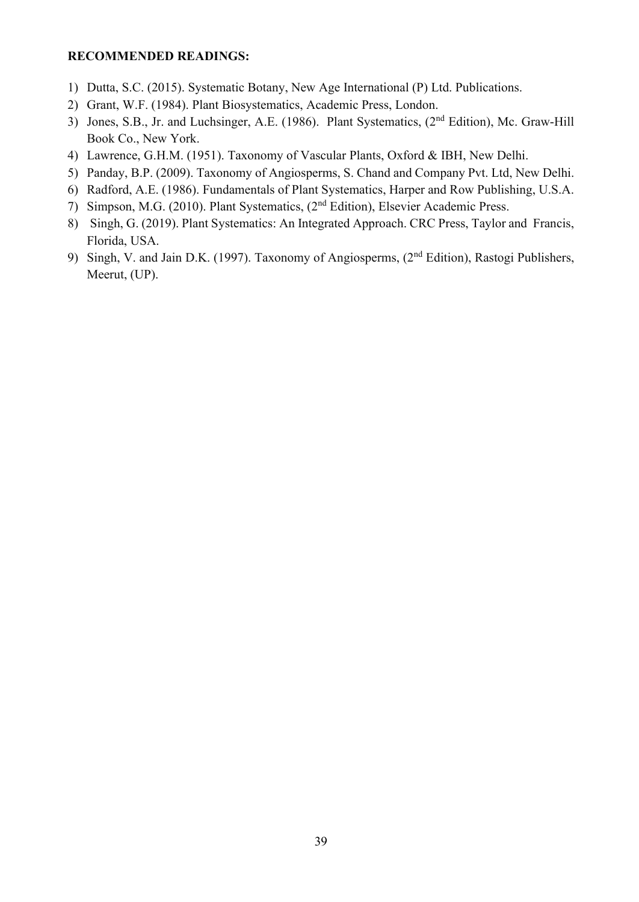- 1) Dutta, S.C. (2015). Systematic Botany, New Age International (P) Ltd. Publications.
- 2) Grant, W.F. (1984). Plant Biosystematics, Academic Press, London.
- 3) Jones, S.B., Jr. and Luchsinger, A.E. (1986). Plant Systematics, (2nd Edition), Mc. Graw-Hill Book Co., New York.
- 4) Lawrence, G.H.M. (1951). Taxonomy of Vascular Plants, Oxford & IBH, New Delhi.
- 5) Panday, B.P. (2009). Taxonomy of Angiosperms, S. Chand and Company Pvt. Ltd, New Delhi.
- 6) Radford, A.E. (1986). Fundamentals of Plant Systematics, Harper and Row Publishing, U.S.A.
- 7) Simpson, M.G. (2010). Plant Systematics, (2nd Edition), Elsevier Academic Press.
- 8) Singh, G. (2019). Plant Systematics: An Integrated Approach. CRC Press, Taylor and Francis, Florida, USA.
- 9) Singh, V. and Jain D.K. (1997). Taxonomy of Angiosperms, (2nd Edition), Rastogi Publishers, Meerut, (UP).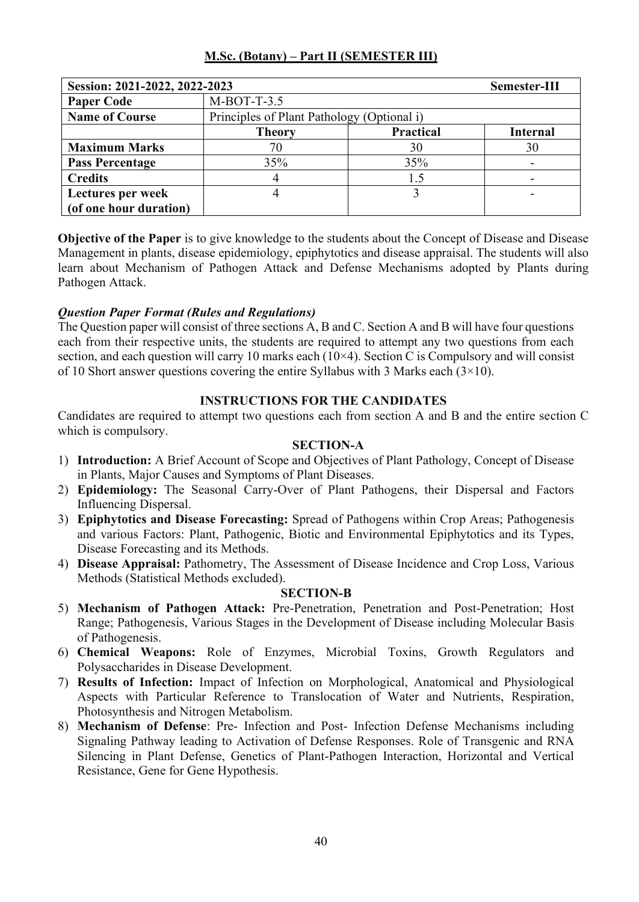| Session: 2021-2022, 2022-2023 |                                            |                  | Semester-III    |
|-------------------------------|--------------------------------------------|------------------|-----------------|
| <b>Paper Code</b>             | $M-BOT-T-3.5$                              |                  |                 |
| <b>Name of Course</b>         | Principles of Plant Pathology (Optional i) |                  |                 |
|                               | <b>Theory</b>                              | <b>Practical</b> | <b>Internal</b> |
| <b>Maximum Marks</b>          | 70                                         | 30               | 30              |
| <b>Pass Percentage</b>        | 35%                                        | 35%              |                 |
| <b>Credits</b>                |                                            | 1.5              |                 |
| Lectures per week             |                                            |                  |                 |
| (of one hour duration)        |                                            |                  |                 |

**Objective of the Paper** is to give knowledge to the students about the Concept of Disease and Disease Management in plants, disease epidemiology, epiphytotics and disease appraisal. The students will also learn about Mechanism of Pathogen Attack and Defense Mechanisms adopted by Plants during Pathogen Attack.

# *Question Paper Format (Rules and Regulations)*

The Question paper will consist of three sections A, B and C. Section A and B will have four questions each from their respective units, the students are required to attempt any two questions from each section, and each question will carry 10 marks each (10×4). Section C is Compulsory and will consist of 10 Short answer questions covering the entire Syllabus with 3 Marks each (3×10).

## **INSTRUCTIONS FOR THE CANDIDATES**

Candidates are required to attempt two questions each from section A and B and the entire section C which is compulsory.

## **SECTION-A**

- 1) **Introduction:** A Brief Account of Scope and Objectives of Plant Pathology, Concept of Disease in Plants, Major Causes and Symptoms of Plant Diseases.
- 2) **Epidemiology:** The Seasonal Carry-Over of Plant Pathogens, their Dispersal and Factors Influencing Dispersal.
- 3) **Epiphytotics and Disease Forecasting:** Spread of Pathogens within Crop Areas; Pathogenesis and various Factors: Plant, Pathogenic, Biotic and Environmental Epiphytotics and its Types, Disease Forecasting and its Methods.
- 4) **Disease Appraisal:** Pathometry, The Assessment of Disease Incidence and Crop Loss, Various Methods (Statistical Methods excluded).

- 5) **Mechanism of Pathogen Attack:** Pre-Penetration, Penetration and Post-Penetration; Host Range; Pathogenesis, Various Stages in the Development of Disease including Molecular Basis of Pathogenesis.
- 6) **Chemical Weapons:** Role of Enzymes, Microbial Toxins, Growth Regulators and Polysaccharides in Disease Development.
- 7) **Results of Infection:** Impact of Infection on Morphological, Anatomical and Physiological Aspects with Particular Reference to Translocation of Water and Nutrients, Respiration, Photosynthesis and Nitrogen Metabolism.
- 8) **Mechanism of Defense**: Pre- Infection and Post- Infection Defense Mechanisms including Signaling Pathway leading to Activation of Defense Responses. Role of Transgenic and RNA Silencing in Plant Defense, Genetics of Plant-Pathogen Interaction, Horizontal and Vertical Resistance, Gene for Gene Hypothesis.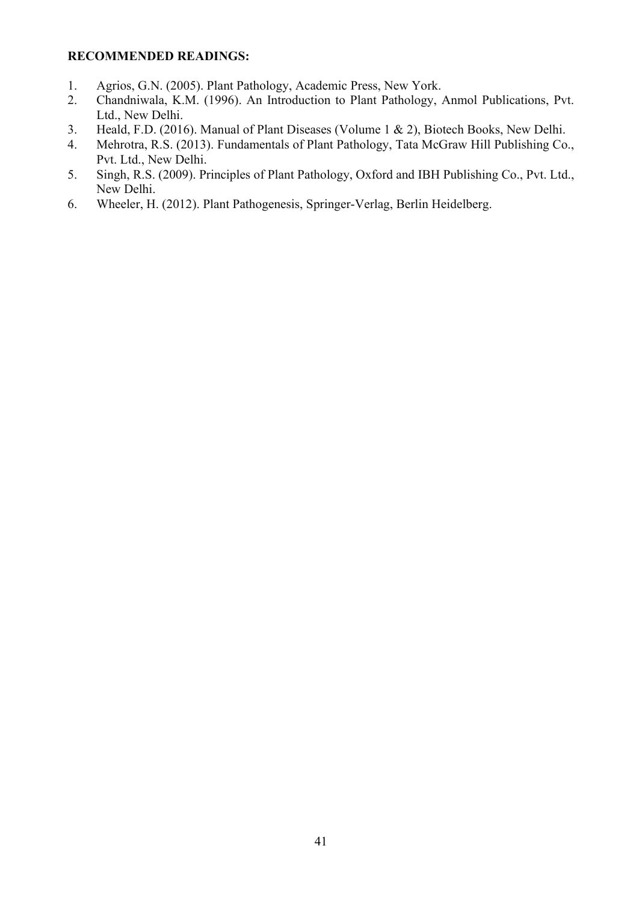- 1. Agrios, G.N. (2005). Plant Pathology, Academic Press, New York.
- 2. Chandniwala, K.M. (1996). An Introduction to Plant Pathology, Anmol Publications, Pvt. Ltd., New Delhi.
- 3. Heald, F.D. (2016). Manual of Plant Diseases (Volume 1 & 2), Biotech Books, New Delhi.
- 4. Mehrotra, R.S. (2013). Fundamentals of Plant Pathology, Tata McGraw Hill Publishing Co., Pvt. Ltd., New Delhi.
- 5. Singh, R.S. (2009). Principles of Plant Pathology, Oxford and IBH Publishing Co., Pvt. Ltd., New Delhi.
- 6. Wheeler, H. (2012). Plant Pathogenesis, Springer-Verlag, Berlin Heidelberg.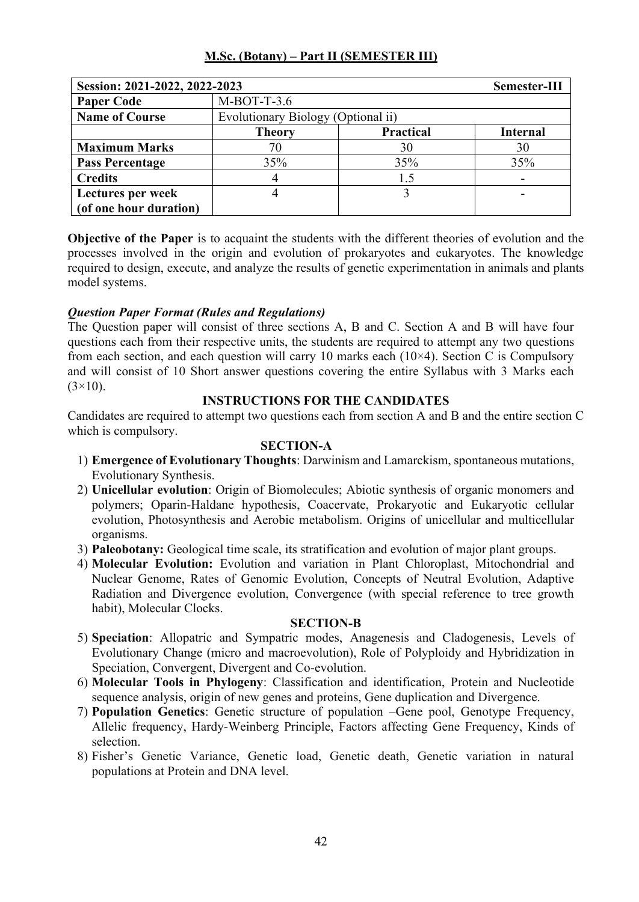| Session: 2021-2022, 2022-2023 |               |                                    | Semester-III    |  |
|-------------------------------|---------------|------------------------------------|-----------------|--|
| <b>Paper Code</b>             | $M-BOT-T-3.6$ |                                    |                 |  |
| <b>Name of Course</b>         |               | Evolutionary Biology (Optional ii) |                 |  |
|                               | <b>Theory</b> | <b>Practical</b>                   | <b>Internal</b> |  |
| <b>Maximum Marks</b>          | 70            | 30                                 | 30              |  |
| <b>Pass Percentage</b>        | 35%           | 35%                                | 35%             |  |
| <b>Credits</b>                | 4             | 1.5                                |                 |  |
| Lectures per week             | 4             |                                    |                 |  |
| (of one hour duration)        |               |                                    |                 |  |

**Objective of the Paper** is to acquaint the students with the different theories of evolution and the processes involved in the origin and evolution of prokaryotes and eukaryotes. The knowledge required to design, execute, and analyze the results of genetic experimentation in animals and plants model systems.

## *Question Paper Format (Rules and Regulations)*

The Question paper will consist of three sections A, B and C. Section A and B will have four questions each from their respective units, the students are required to attempt any two questions from each section, and each question will carry 10 marks each  $(10\times4)$ . Section C is Compulsory and will consist of 10 Short answer questions covering the entire Syllabus with 3 Marks each  $(3\times10)$ .

#### **INSTRUCTIONS FOR THE CANDIDATES**

Candidates are required to attempt two questions each from section A and B and the entire section C which is compulsory.

### **SECTION-A**

- 1) **Emergence of Evolutionary Thoughts**: Darwinism and Lamarckism, spontaneous mutations, Evolutionary Synthesis.
- 2) **Unicellular evolution**: Origin of Biomolecules; Abiotic synthesis of organic monomers and polymers; Oparin-Haldane hypothesis, Coacervate, Prokaryotic and Eukaryotic cellular evolution, Photosynthesis and Aerobic metabolism. Origins of unicellular and multicellular organisms.
- 3) **Paleobotany:** Geological time scale, its stratification and evolution of major plant groups.
- 4) **Molecular Evolution:** Evolution and variation in Plant Chloroplast, Mitochondrial and Nuclear Genome, Rates of Genomic Evolution, Concepts of Neutral Evolution, Adaptive Radiation and Divergence evolution, Convergence (with special reference to tree growth habit), Molecular Clocks.

- 5) **Speciation**: Allopatric and Sympatric modes, Anagenesis and Cladogenesis, Levels of Evolutionary Change (micro and macroevolution), Role of Polyploidy and Hybridization in Speciation, Convergent, Divergent and Co-evolution.
- 6) **Molecular Tools in Phylogeny**: Classification and identification, Protein and Nucleotide sequence analysis, origin of new genes and proteins, Gene duplication and Divergence.
- 7) **Population Genetics**: Genetic structure of population –Gene pool, Genotype Frequency, Allelic frequency, Hardy-Weinberg Principle, Factors affecting Gene Frequency, Kinds of selection.
- 8) Fisher's Genetic Variance, Genetic load, Genetic death, Genetic variation in natural populations at Protein and DNA level.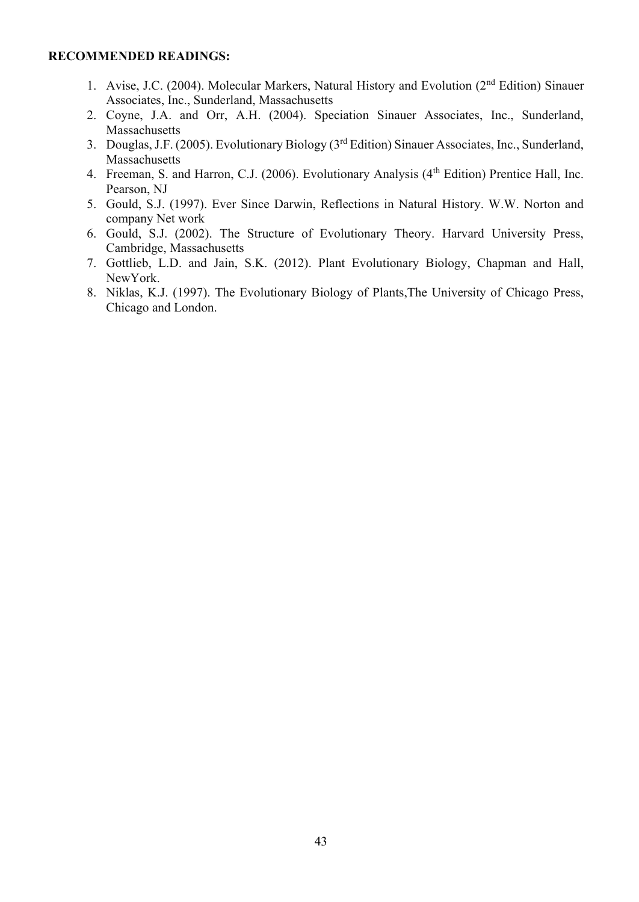- 1. Avise, J.C. (2004). Molecular Markers, Natural History and Evolution (2<sup>nd</sup> Edition) Sinauer Associates, Inc., Sunderland, Massachusetts
- 2. Coyne, J.A. and Orr, A.H. (2004). Speciation Sinauer Associates, Inc., Sunderland, Massachusetts
- 3. Douglas, J.F. (2005). Evolutionary Biology (3rd Edition) Sinauer Associates, Inc., Sunderland, **Massachusetts**
- 4. Freeman, S. and Harron, C.J. (2006). Evolutionary Analysis (4<sup>th</sup> Edition) Prentice Hall, Inc. Pearson, NJ
- 5. Gould, S.J. (1997). Ever Since Darwin, Reflections in Natural History. W.W. Norton and company Net work
- 6. Gould, S.J. (2002). The Structure of Evolutionary Theory. Harvard University Press, Cambridge, Massachusetts
- 7. Gottlieb, L.D. and Jain, S.K. (2012). Plant Evolutionary Biology, Chapman and Hall, NewYork.
- 8. Niklas, K.J. (1997). The Evolutionary Biology of Plants,The University of Chicago Press, Chicago and London.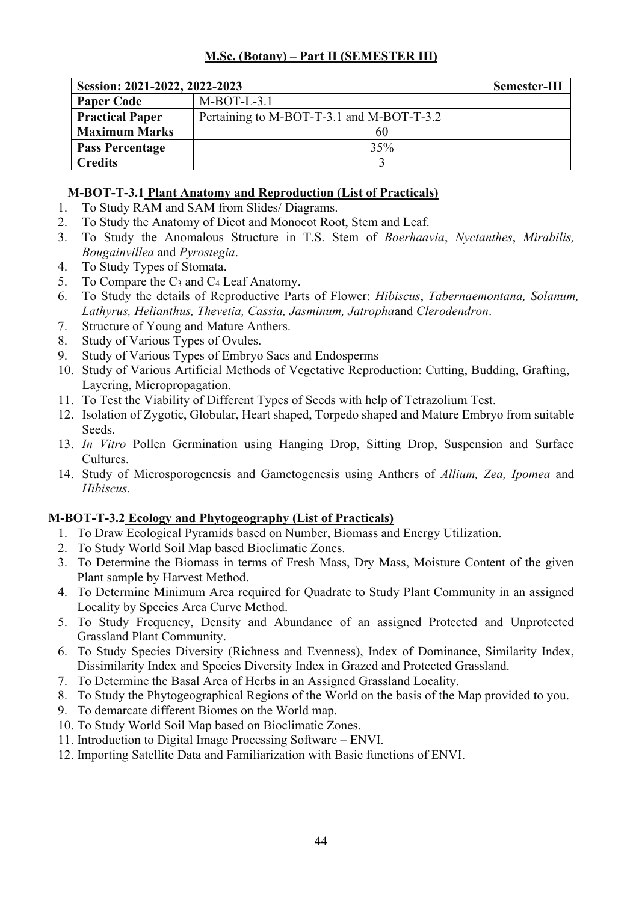| Session: 2021-2022, 2022-2023 |                                           | Semester-III |
|-------------------------------|-------------------------------------------|--------------|
| <b>Paper Code</b>             | $M-BOT-L-3.1$                             |              |
| <b>Practical Paper</b>        | Pertaining to M-BOT-T-3.1 and M-BOT-T-3.2 |              |
| <b>Maximum Marks</b>          | 60                                        |              |
| <b>Pass Percentage</b>        | 35%                                       |              |
| <b>Credits</b>                |                                           |              |

## **M-BOT-T-3.1 Plant Anatomy and Reproduction (List of Practicals)**

- 1. To Study RAM and SAM from Slides/ Diagrams.
- 2. To Study the Anatomy of Dicot and Monocot Root, Stem and Leaf.
- 3. To Study the Anomalous Structure in T.S. Stem of *Boerhaavia*, *Nyctanthes*, *Mirabilis, Bougainvillea* and *Pyrostegia*.
- 4. To Study Types of Stomata.
- 5. To Compare the  $C_3$  and  $C_4$  Leaf Anatomy.
- 6. To Study the details of Reproductive Parts of Flower: *Hibiscus*, *Tabernaemontana, Solanum, Lathyrus, Helianthus, Thevetia, Cassia, Jasminum, Jatropha*and *Clerodendron*.
- 7. Structure of Young and Mature Anthers.
- 8. Study of Various Types of Ovules.
- 9. Study of Various Types of Embryo Sacs and Endosperms
- 10. Study of Various Artificial Methods of Vegetative Reproduction: Cutting, Budding, Grafting, Layering, Micropropagation.
- 11. To Test the Viability of Different Types of Seeds with help of Tetrazolium Test.
- 12. Isolation of Zygotic, Globular, Heart shaped, Torpedo shaped and Mature Embryo from suitable Seeds.
- 13. *In Vitro* Pollen Germination using Hanging Drop, Sitting Drop, Suspension and Surface Cultures.
- 14. Study of Microsporogenesis and Gametogenesis using Anthers of *Allium, Zea, Ipomea* and *Hibiscus*.

## **M-BOT-T-3.2 Ecology and Phytogeography (List of Practicals)**

- 1. To Draw Ecological Pyramids based on Number, Biomass and Energy Utilization.
- 2. To Study World Soil Map based Bioclimatic Zones.
- 3. To Determine the Biomass in terms of Fresh Mass, Dry Mass, Moisture Content of the given Plant sample by Harvest Method.
- 4. To Determine Minimum Area required for Quadrate to Study Plant Community in an assigned Locality by Species Area Curve Method.
- 5. To Study Frequency, Density and Abundance of an assigned Protected and Unprotected Grassland Plant Community.
- 6. To Study Species Diversity (Richness and Evenness), Index of Dominance, Similarity Index, Dissimilarity Index and Species Diversity Index in Grazed and Protected Grassland.
- 7. To Determine the Basal Area of Herbs in an Assigned Grassland Locality.
- 8. To Study the Phytogeographical Regions of the World on the basis of the Map provided to you.
- 9. To demarcate different Biomes on the World map.
- 10. To Study World Soil Map based on Bioclimatic Zones.
- 11. Introduction to Digital Image Processing Software ENVI.
- 12. Importing Satellite Data and Familiarization with Basic functions of ENVI.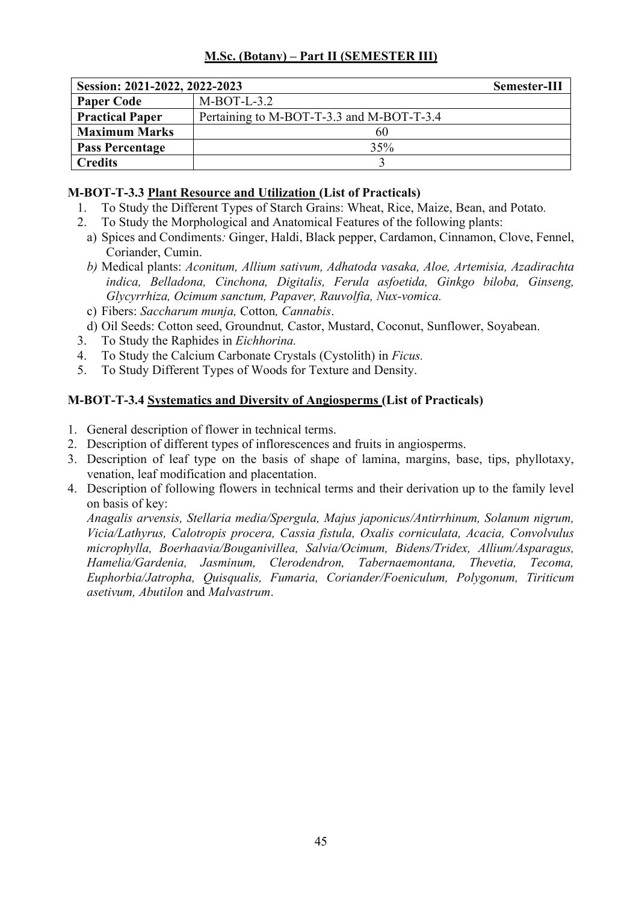| Session: 2021-2022, 2022-2023 |                                           | Semester-III |
|-------------------------------|-------------------------------------------|--------------|
| <b>Paper Code</b>             | $M-BOT-L-3.2$                             |              |
| <b>Practical Paper</b>        | Pertaining to M-BOT-T-3.3 and M-BOT-T-3.4 |              |
| <b>Maximum Marks</b>          | 60                                        |              |
| <b>Pass Percentage</b>        | 35%                                       |              |
| <b>Credits</b>                |                                           |              |

## **M-BOT-T-3.3 Plant Resource and Utilization (List of Practicals)**

- 1. To Study the Different Types of Starch Grains: Wheat, Rice, Maize, Bean, and Potato*.*
- 2. To Study the Morphological and Anatomical Features of the following plants:
	- a) Spices and Condiments*:* Ginger, Haldi, Black pepper, Cardamon, Cinnamon, Clove, Fennel, Coriander, Cumin.
	- *b)* Medical plants: *Aconitum, Allium sativum, Adhatoda vasaka, Aloe, Artemisia, Azadirachta indica, Belladona, Cinchona, Digitalis, Ferula asfoetida, Ginkgo biloba, Ginseng, Glycyrrhiza, Ocimum sanctum, Papaver, Rauvolfia, Nux-vomica.*
	- c) Fibers: *Saccharum munja,* Cotton*, Cannabis*.
	- d) Oil Seeds: Cotton seed, Groundnut*,* Castor, Mustard, Coconut, Sunflower, Soyabean.
- 3. To Study the Raphides in *Eichhorina.*
- 4. To Study the Calcium Carbonate Crystals (Cystolith) in *Ficus.*
- 5. To Study Different Types of Woods for Texture and Density.

## **M-BOT-T-3.4 Systematics and Diversity of Angiosperms (List of Practicals)**

- 1. General description of flower in technical terms.
- 2. Description of different types of inflorescences and fruits in angiosperms.
- 3. Description of leaf type on the basis of shape of lamina, margins, base, tips, phyllotaxy, venation, leaf modification and placentation.
- 4. Description of following flowers in technical terms and their derivation up to the family level on basis of key:

*Anagalis arvensis, Stellaria media/Spergula, Majus japonicus/Antirrhinum, Solanum nigrum, Vicia/Lathyrus, Calotropis procera, Cassia fistula, Oxalis corniculata, Acacia, Convolvulus microphylla, Boerhaavia/Bouganivillea, Salvia/Ocimum, Bidens/Tridex, Allium/Asparagus, Hamelia/Gardenia, Jasminum, Clerodendron, Tabernaemontana, Thevetia, Tecoma, Euphorbia/Jatropha, Quisqualis, Fumaria, Coriander/Foeniculum, Polygonum, Tiriticum asetivum, Abutilon* and *Malvastrum*.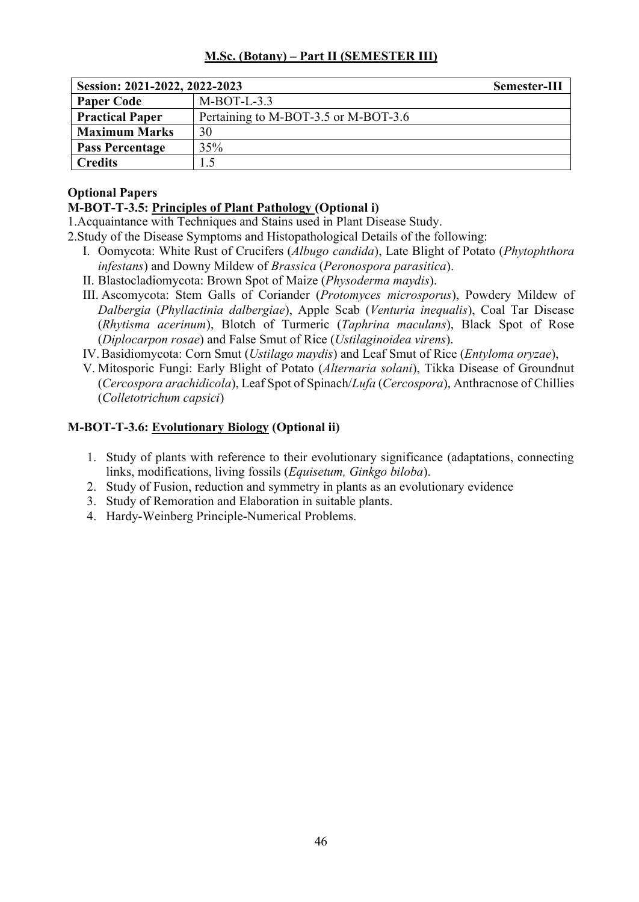| Session: 2021-2022, 2022-2023 |                                      | Semester-III |
|-------------------------------|--------------------------------------|--------------|
| <b>Paper Code</b>             | $M-BOT-L-3.3$                        |              |
| <b>Practical Paper</b>        | Pertaining to M-BOT-3.5 or M-BOT-3.6 |              |
| <b>Maximum Marks</b>          | 30                                   |              |
| <b>Pass Percentage</b>        | 35%                                  |              |
| <b>Credits</b>                |                                      |              |

## **Optional Papers**

## **M-BOT-T-3.5: Principles of Plant Pathology (Optional i)**

1.Acquaintance with Techniques and Stains used in Plant Disease Study.

2.Study of the Disease Symptoms and Histopathological Details of the following:

- I. Oomycota: White Rust of Crucifers (*Albugo candida*), Late Blight of Potato (*Phytophthora infestans*) and Downy Mildew of *Brassica* (*Peronospora parasitica*).
- II. Blastocladiomycota: Brown Spot of Maize (*Physoderma maydis*).
- III. Ascomycota: Stem Galls of Coriander (*Protomyces microsporus*), Powdery Mildew of *Dalbergia* (*Phyllactinia dalbergiae*), Apple Scab (*Venturia inequalis*), Coal Tar Disease (*Rhytisma acerinum*), Blotch of Turmeric (*Taphrina maculans*), Black Spot of Rose (*Diplocarpon rosae*) and False Smut of Rice (*Ustilaginoidea virens*).
- IV.Basidiomycota: Corn Smut (*Ustilago maydis*) and Leaf Smut of Rice (*Entyloma oryzae*),
- V. Mitosporic Fungi: Early Blight of Potato (*Alternaria solani*), Tikka Disease of Groundnut (*Cercospora arachidicola*), Leaf Spot of Spinach/*Lufa* (*Cercospora*), Anthracnose of Chillies (*Colletotrichum capsici*)

## **M-BOT-T-3.6: Evolutionary Biology (Optional ii)**

- 1. Study of plants with reference to their evolutionary significance (adaptations, connecting links, modifications, living fossils (*Equisetum, Ginkgo biloba*).
- 2. Study of Fusion, reduction and symmetry in plants as an evolutionary evidence
- 3. Study of Remoration and Elaboration in suitable plants.
- 4. Hardy-Weinberg Principle-Numerical Problems.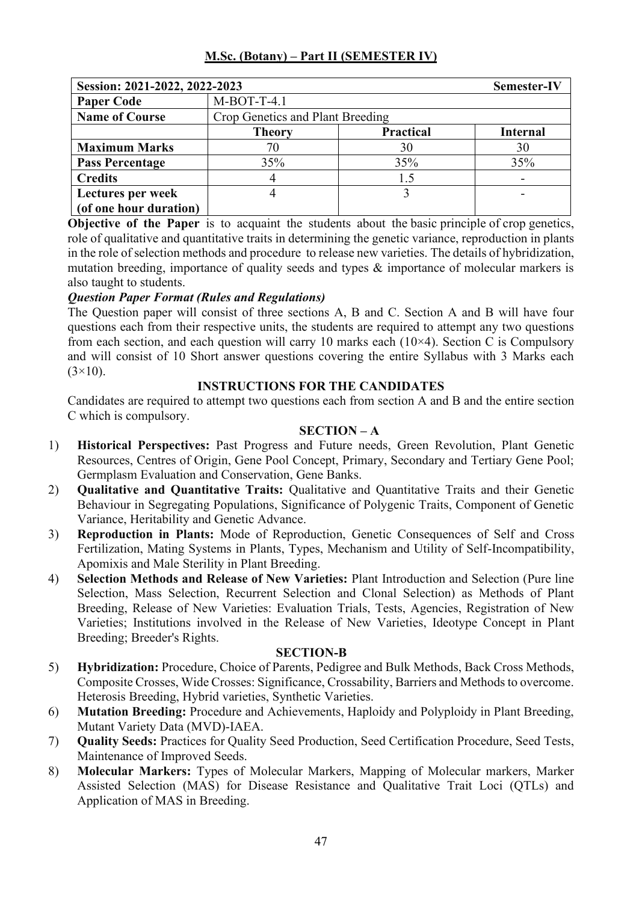| Session: 2021-2022, 2022-2023 |                                  |                  | <b>Semester-IV</b> |
|-------------------------------|----------------------------------|------------------|--------------------|
| <b>Paper Code</b>             | $M-BOT-T-4.1$                    |                  |                    |
| <b>Name of Course</b>         | Crop Genetics and Plant Breeding |                  |                    |
|                               | <b>Theory</b>                    | <b>Practical</b> | <b>Internal</b>    |
| <b>Maximum Marks</b>          | 70                               | 30               | 30                 |
| <b>Pass Percentage</b>        | 35%                              | 35%              | 35%                |
| <b>Credits</b>                |                                  | 1.5              |                    |
| Lectures per week             |                                  |                  |                    |
| (of one hour duration)        |                                  |                  |                    |

**Objective of the Paper** is to acquaint the students about the basic principle of crop genetics, role of qualitative and quantitative traits in determining the genetic variance, reproduction in plants in the role of selection methods and procedure to release new varieties. The details of hybridization, mutation breeding, importance of quality seeds and types & importance of molecular markers is also taught to students.

## *Question Paper Format (Rules and Regulations)*

The Question paper will consist of three sections A, B and C. Section A and B will have four questions each from their respective units, the students are required to attempt any two questions from each section, and each question will carry 10 marks each  $(10\times4)$ . Section C is Compulsory and will consist of 10 Short answer questions covering the entire Syllabus with 3 Marks each  $(3\times10)$ .

## **INSTRUCTIONS FOR THE CANDIDATES**

Candidates are required to attempt two questions each from section A and B and the entire section C which is compulsory.

#### **SECTION – A**

- 1) **Historical Perspectives:** Past Progress and Future needs, Green Revolution, Plant Genetic Resources, Centres of Origin, Gene Pool Concept, Primary, Secondary and Tertiary Gene Pool; Germplasm Evaluation and Conservation, Gene Banks.
- 2) **Qualitative and Quantitative Traits:** Qualitative and Quantitative Traits and their Genetic Behaviour in Segregating Populations, Significance of Polygenic Traits, Component of Genetic Variance, Heritability and Genetic Advance.
- 3) **Reproduction in Plants:** Mode of Reproduction, Genetic Consequences of Self and Cross Fertilization, Mating Systems in Plants, Types, Mechanism and Utility of Self-Incompatibility, Apomixis and Male Sterility in Plant Breeding.
- 4) **Selection Methods and Release of New Varieties:** Plant Introduction and Selection (Pure line Selection, Mass Selection, Recurrent Selection and Clonal Selection) as Methods of Plant Breeding, Release of New Varieties: Evaluation Trials, Tests, Agencies, Registration of New Varieties; Institutions involved in the Release of New Varieties, Ideotype Concept in Plant Breeding; Breeder's Rights.

- 5) **Hybridization:** Procedure, Choice of Parents, Pedigree and Bulk Methods, Back Cross Methods, Composite Crosses, Wide Crosses: Significance, Crossability, Barriers and Methods to overcome. Heterosis Breeding, Hybrid varieties, Synthetic Varieties.
- 6) **Mutation Breeding:** Procedure and Achievements, Haploidy and Polyploidy in Plant Breeding, Mutant Variety Data (MVD)-IAEA.
- 7) **Quality Seeds:** Practices for Quality Seed Production, Seed Certification Procedure, Seed Tests, Maintenance of Improved Seeds.
- 8) **Molecular Markers:** Types of Molecular Markers, Mapping of Molecular markers, Marker Assisted Selection (MAS) for Disease Resistance and Qualitative Trait Loci (QTLs) and Application of MAS in Breeding.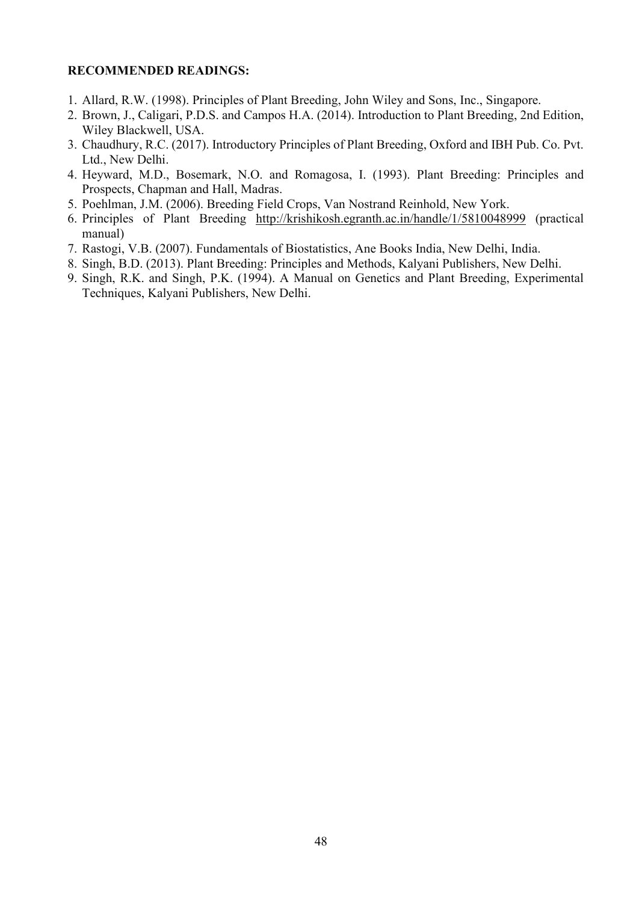- 1. Allard, R.W. (1998). Principles of Plant Breeding, John Wiley and Sons, Inc., Singapore.
- 2. Brown, J., Caligari, P.D.S. and Campos H.A. (2014). Introduction to Plant Breeding, 2nd Edition, Wiley Blackwell, USA.
- 3. Chaudhury, R.C. (2017). Introductory Principles of Plant Breeding, Oxford and IBH Pub. Co. Pvt. Ltd., New Delhi.
- 4. Heyward, M.D., Bosemark, N.O. and Romagosa, I. (1993). Plant Breeding: Principles and Prospects, Chapman and Hall, Madras.
- 5. Poehlman, J.M. (2006). Breeding Field Crops, Van Nostrand Reinhold, New York.
- 6. Principles of Plant Breeding http://krishikosh.egranth.ac.in/handle/1/5810048999 (practical manual)
- 7. Rastogi, V.B. (2007). Fundamentals of Biostatistics, Ane Books India, New Delhi, India.
- 8. Singh, B.D. (2013). Plant Breeding: Principles and Methods, Kalyani Publishers, New Delhi.
- 9. Singh, R.K. and Singh, P.K. (1994). A Manual on Genetics and Plant Breeding, Experimental Techniques, Kalyani Publishers, New Delhi.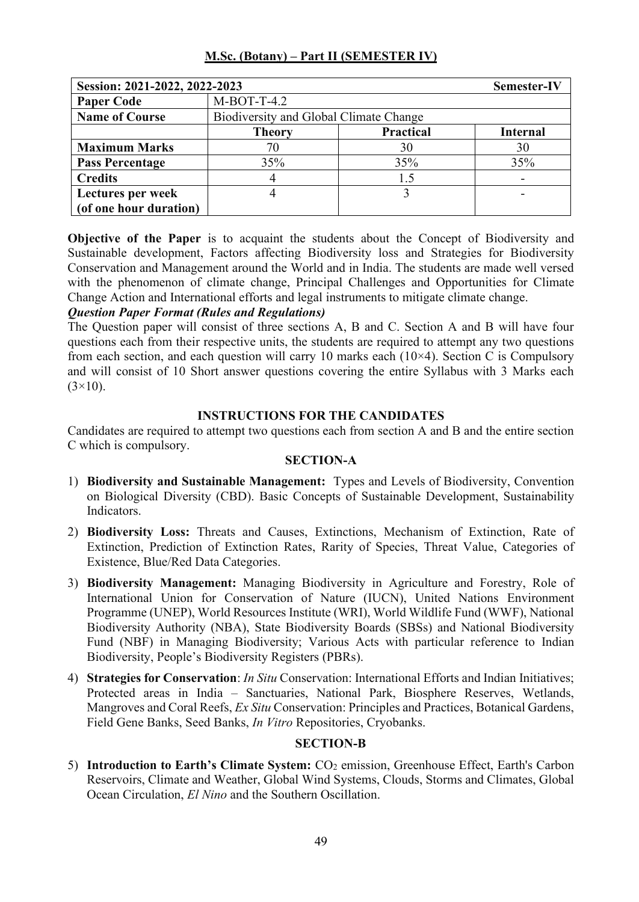| Session: 2021-2022, 2022-2023 |                                        |                  | <b>Semester-IV</b> |
|-------------------------------|----------------------------------------|------------------|--------------------|
| <b>Paper Code</b>             | $M-BOT-T-4.2$                          |                  |                    |
| <b>Name of Course</b>         | Biodiversity and Global Climate Change |                  |                    |
|                               | <b>Theory</b>                          | <b>Practical</b> | <b>Internal</b>    |
| <b>Maximum Marks</b>          | 70                                     | 30               | 30                 |
| <b>Pass Percentage</b>        | 35%                                    | 35%              | 35%                |
| <b>Credits</b>                |                                        | 1.5              |                    |
| Lectures per week             |                                        |                  |                    |
| (of one hour duration)        |                                        |                  |                    |

**Objective of the Paper** is to acquaint the students about the Concept of Biodiversity and Sustainable development, Factors affecting Biodiversity loss and Strategies for Biodiversity Conservation and Management around the World and in India. The students are made well versed with the phenomenon of climate change, Principal Challenges and Opportunities for Climate Change Action and International efforts and legal instruments to mitigate climate change.

## *Question Paper Format (Rules and Regulations)*

The Question paper will consist of three sections A, B and C. Section A and B will have four questions each from their respective units, the students are required to attempt any two questions from each section, and each question will carry 10 marks each  $(10\times4)$ . Section C is Compulsory and will consist of 10 Short answer questions covering the entire Syllabus with 3 Marks each  $(3\times10)$ .

## **INSTRUCTIONS FOR THE CANDIDATES**

Candidates are required to attempt two questions each from section A and B and the entire section C which is compulsory.

## **SECTION-A**

- 1) **Biodiversity and Sustainable Management:** Types and Levels of Biodiversity, Convention on Biological Diversity (CBD). Basic Concepts of Sustainable Development, Sustainability Indicators.
- 2) **Biodiversity Loss:** Threats and Causes, Extinctions, Mechanism of Extinction, Rate of Extinction, Prediction of Extinction Rates, Rarity of Species, Threat Value, Categories of Existence, Blue/Red Data Categories.
- 3) **Biodiversity Management:** Managing Biodiversity in Agriculture and Forestry, Role of International Union for Conservation of Nature (IUCN), United Nations Environment Programme (UNEP), World Resources Institute (WRI), World Wildlife Fund (WWF), National Biodiversity Authority (NBA), State Biodiversity Boards (SBSs) and National Biodiversity Fund (NBF) in Managing Biodiversity; Various Acts with particular reference to Indian Biodiversity, People's Biodiversity Registers (PBRs).
- 4) **Strategies for Conservation**: *In Situ* Conservation: International Efforts and Indian Initiatives; Protected areas in India – Sanctuaries, National Park, Biosphere Reserves, Wetlands, Mangroves and Coral Reefs, *Ex Situ* Conservation: Principles and Practices, Botanical Gardens, Field Gene Banks, Seed Banks, *In Vitro* Repositories, Cryobanks.

## **SECTION-B**

5) **Introduction to Earth's Climate System:** CO<sub>2</sub> emission, Greenhouse Effect, Earth's Carbon Reservoirs, Climate and Weather, Global Wind Systems, Clouds, Storms and Climates, Global Ocean Circulation, *El Nino* and the Southern Oscillation.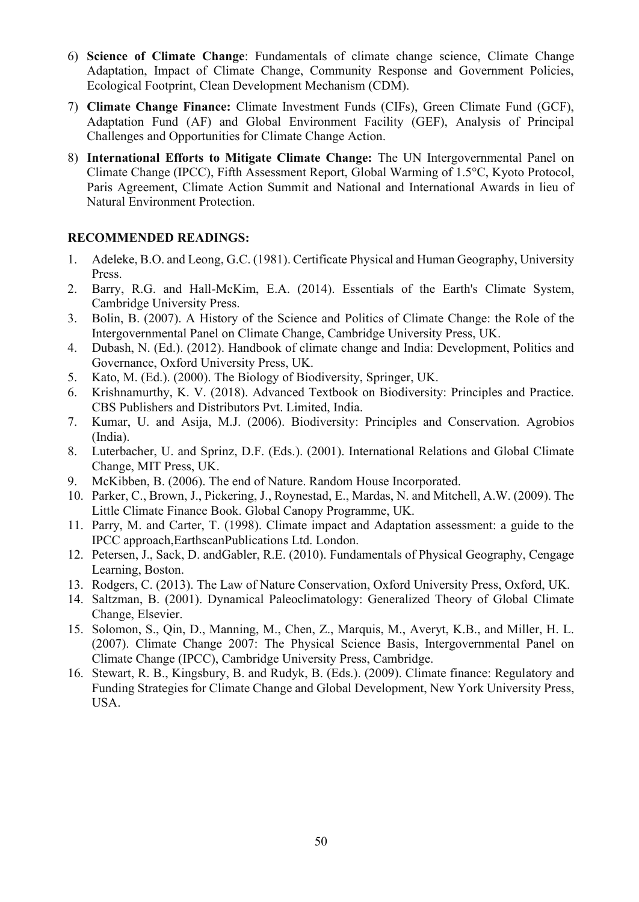- 6) **Science of Climate Change**: Fundamentals of climate change science, Climate Change Adaptation, Impact of Climate Change, Community Response and Government Policies, Ecological Footprint, Clean Development Mechanism (CDM).
- 7) **Climate Change Finance:** Climate Investment Funds (CIFs), Green Climate Fund (GCF), Adaptation Fund (AF) and Global Environment Facility (GEF), Analysis of Principal Challenges and Opportunities for Climate Change Action.
- 8) **International Efforts to Mitigate Climate Change:** The UN Intergovernmental Panel on Climate Change (IPCC), Fifth Assessment Report, Global Warming of 1.5°C, Kyoto Protocol, Paris Agreement, Climate Action Summit and National and International Awards in lieu of Natural Environment Protection.

- 1. Adeleke, B.O. and Leong, G.C. (1981). Certificate Physical and Human Geography, University Press.
- 2. Barry, R.G. and Hall-McKim, E.A. (2014). Essentials of the Earth's Climate System, Cambridge University Press.
- 3. Bolin, B. (2007). A History of the Science and Politics of Climate Change: the Role of the Intergovernmental Panel on Climate Change, Cambridge University Press, UK.
- 4. Dubash, N. (Ed.). (2012). Handbook of climate change and India: Development, Politics and Governance, Oxford University Press, UK.
- 5. Kato, M. (Ed.). (2000). The Biology of Biodiversity, Springer, UK.
- 6. Krishnamurthy, K. V. (2018). Advanced Textbook on Biodiversity: Principles and Practice. CBS Publishers and Distributors Pvt. Limited, India.
- 7. Kumar, U. and Asija, M.J. (2006). Biodiversity: Principles and Conservation. Agrobios (India).
- 8. Luterbacher, U. and Sprinz, D.F. (Eds.). (2001). International Relations and Global Climate Change, MIT Press, UK.
- 9. McKibben, B. (2006). The end of Nature. Random House Incorporated.
- 10. Parker, C., Brown, J., Pickering, J., Roynestad, E., Mardas, N. and Mitchell, A.W. (2009). The Little Climate Finance Book. Global Canopy Programme, UK.
- 11. Parry, M. and Carter, T. (1998). Climate impact and Adaptation assessment: a guide to the IPCC approach,EarthscanPublications Ltd. London.
- 12. Petersen, J., Sack, D. andGabler, R.E. (2010). Fundamentals of Physical Geography, Cengage Learning, Boston.
- 13. Rodgers, C. (2013). The Law of Nature Conservation, Oxford University Press, Oxford, UK.
- 14. Saltzman, B. (2001). Dynamical Paleoclimatology: Generalized Theory of Global Climate Change, Elsevier.
- 15. Solomon, S., Qin, D., Manning, M., Chen, Z., Marquis, M., Averyt, K.B., and Miller, H. L. (2007). Climate Change 2007: The Physical Science Basis, Intergovernmental Panel on Climate Change (IPCC), Cambridge University Press, Cambridge.
- 16. Stewart, R. B., Kingsbury, B. and Rudyk, B. (Eds.). (2009). Climate finance: Regulatory and Funding Strategies for Climate Change and Global Development, New York University Press, USA.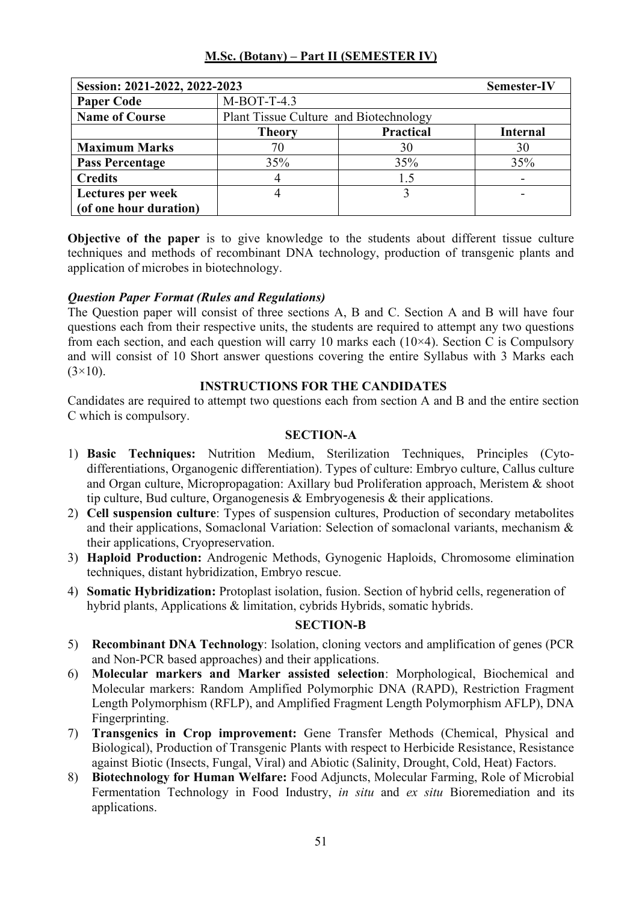| Session: 2021-2022, 2022-2023 |                                        |                  | <b>Semester-IV</b> |
|-------------------------------|----------------------------------------|------------------|--------------------|
| <b>Paper Code</b>             | M-BOT-T-4.3                            |                  |                    |
| <b>Name of Course</b>         | Plant Tissue Culture and Biotechnology |                  |                    |
|                               | <b>Theory</b>                          | <b>Practical</b> | <b>Internal</b>    |
| <b>Maximum Marks</b>          | 70                                     | 30               | 30                 |
| <b>Pass Percentage</b>        | 35%                                    | 35%              | 35%                |
| <b>Credits</b>                |                                        | 1.5              |                    |
| Lectures per week             |                                        |                  |                    |
| (of one hour duration)        |                                        |                  |                    |

**Objective of the paper** is to give knowledge to the students about different tissue culture techniques and methods of recombinant DNA technology, production of transgenic plants and application of microbes in biotechnology.

## *Question Paper Format (Rules and Regulations)*

The Question paper will consist of three sections A, B and C. Section A and B will have four questions each from their respective units, the students are required to attempt any two questions from each section, and each question will carry 10 marks each  $(10\times4)$ . Section C is Compulsory and will consist of 10 Short answer questions covering the entire Syllabus with 3 Marks each  $(3\times10)$ .

#### **INSTRUCTIONS FOR THE CANDIDATES**

Candidates are required to attempt two questions each from section A and B and the entire section C which is compulsory.

#### **SECTION-A**

- 1) **Basic Techniques:** Nutrition Medium, Sterilization Techniques, Principles (Cytodifferentiations, Organogenic differentiation). Types of culture: Embryo culture, Callus culture and Organ culture, Micropropagation: Axillary bud Proliferation approach, Meristem & shoot tip culture, Bud culture, Organogenesis & Embryogenesis & their applications.
- 2) **Cell suspension culture**: Types of suspension cultures, Production of secondary metabolites and their applications, Somaclonal Variation: Selection of somaclonal variants, mechanism & their applications, Cryopreservation.
- 3) **Haploid Production:** Androgenic Methods, Gynogenic Haploids, Chromosome elimination techniques, distant hybridization, Embryo rescue.
- 4) **Somatic Hybridization:** Protoplast isolation, fusion. Section of hybrid cells, regeneration of hybrid plants, Applications & limitation, cybrids Hybrids, somatic hybrids.

- 5) **Recombinant DNA Technology**: Isolation, cloning vectors and amplification of genes (PCR and Non-PCR based approaches) and their applications.
- 6) **Molecular markers and Marker assisted selection**: Morphological, Biochemical and Molecular markers: Random Amplified Polymorphic DNA (RAPD), Restriction Fragment Length Polymorphism (RFLP), and Amplified Fragment Length Polymorphism AFLP), DNA Fingerprinting.
- 7) **Transgenics in Crop improvement:** Gene Transfer Methods (Chemical, Physical and Biological), Production of Transgenic Plants with respect to Herbicide Resistance, Resistance against Biotic (Insects, Fungal, Viral) and Abiotic (Salinity, Drought, Cold, Heat) Factors.
- 8) **Biotechnology for Human Welfare:** Food Adjuncts, Molecular Farming, Role of Microbial Fermentation Technology in Food Industry, *in situ* and *ex situ* Bioremediation and its applications.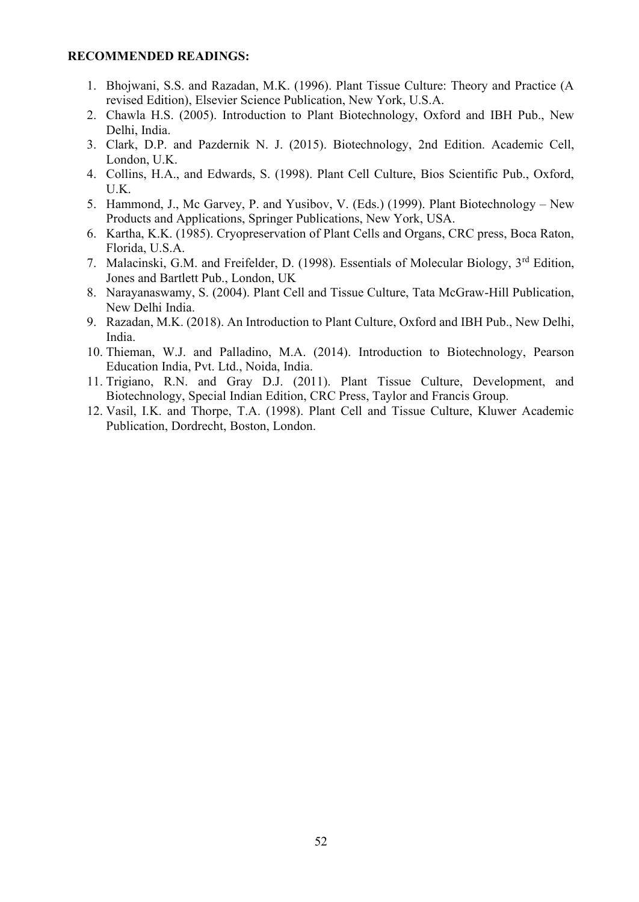- 1. Bhojwani, S.S. and Razadan, M.K. (1996). Plant Tissue Culture: Theory and Practice (A revised Edition), Elsevier Science Publication, New York, U.S.A.
- 2. Chawla H.S. (2005). Introduction to Plant Biotechnology, Oxford and IBH Pub., New Delhi, India.
- 3. Clark, D.P. and Pazdernik N. J. (2015). Biotechnology, 2nd Edition. Academic Cell, London, U.K.
- 4. Collins, H.A., and Edwards, S. (1998). Plant Cell Culture, Bios Scientific Pub., Oxford, U.K.
- 5. Hammond, J., Mc Garvey, P. and Yusibov, V. (Eds.) (1999). Plant Biotechnology New Products and Applications, Springer Publications, New York, USA.
- 6. Kartha, K.K. (1985). Cryopreservation of Plant Cells and Organs, CRC press, Boca Raton, Florida, U.S.A.
- 7. Malacinski, G.M. and Freifelder, D. (1998). Essentials of Molecular Biology, 3rd Edition, Jones and Bartlett Pub., London, UK
- 8. Narayanaswamy, S. (2004). Plant Cell and Tissue Culture, Tata McGraw-Hill Publication, New Delhi India.
- 9. Razadan, M.K. (2018). An Introduction to Plant Culture, Oxford and IBH Pub., New Delhi, India.
- 10. Thieman, W.J. and Palladino, M.A. (2014). Introduction to Biotechnology, Pearson Education India, Pvt. Ltd., Noida, India.
- 11. Trigiano, R.N. and Gray D.J. (2011). Plant Tissue Culture, Development, and Biotechnology, Special Indian Edition, CRC Press, Taylor and Francis Group.
- 12. Vasil, I.K. and Thorpe, T.A. (1998). Plant Cell and Tissue Culture, Kluwer Academic Publication, Dordrecht, Boston, London.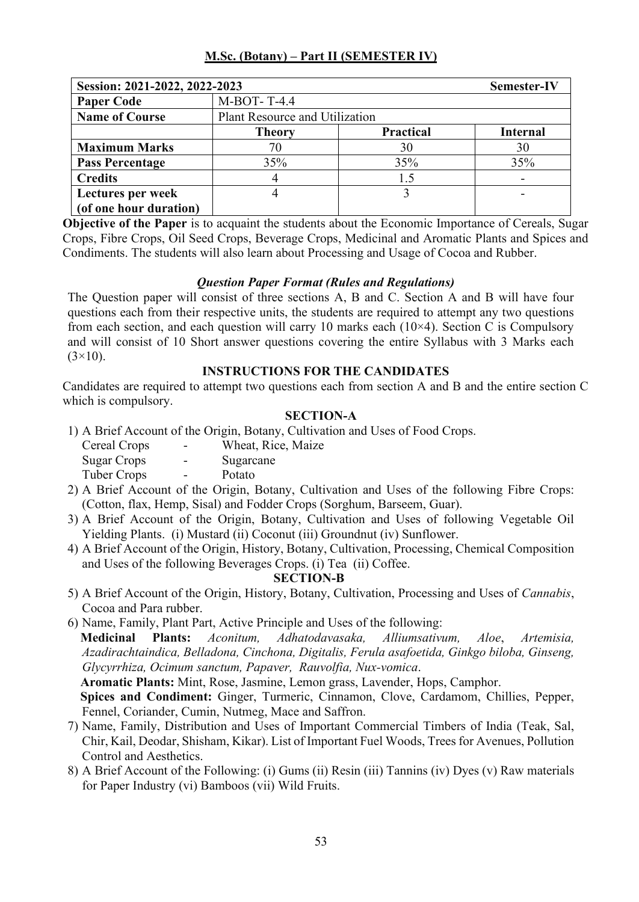| Session: 2021-2022, 2022-2023 |                                |                  | <b>Semester-IV</b> |
|-------------------------------|--------------------------------|------------------|--------------------|
| <b>Paper Code</b>             | M-BOT-T-4.4                    |                  |                    |
| <b>Name of Course</b>         | Plant Resource and Utilization |                  |                    |
|                               | <b>Theory</b>                  | <b>Practical</b> | <b>Internal</b>    |
| <b>Maximum Marks</b>          | 70                             | 30               | 30                 |
| <b>Pass Percentage</b>        | 35%                            | 35%              | 35%                |
| <b>Credits</b>                | 4                              | 1.5              |                    |
| Lectures per week             | 4                              |                  |                    |
| (of one hour duration)        |                                |                  |                    |

**Objective of the Paper** is to acquaint the students about the Economic Importance of Cereals, Sugar Crops, Fibre Crops, Oil Seed Crops, Beverage Crops, Medicinal and Aromatic Plants and Spices and Condiments. The students will also learn about Processing and Usage of Cocoa and Rubber.

## *Question Paper Format (Rules and Regulations)*

The Question paper will consist of three sections A, B and C. Section A and B will have four questions each from their respective units, the students are required to attempt any two questions from each section, and each question will carry 10 marks each  $(10\times4)$ . Section C is Compulsory and will consist of 10 Short answer questions covering the entire Syllabus with 3 Marks each  $(3\times10)$ .

## **INSTRUCTIONS FOR THE CANDIDATES**

Candidates are required to attempt two questions each from section A and B and the entire section C which is compulsory.

## **SECTION-A**

1) A Brief Account of the Origin, Botany, Cultivation and Uses of Food Crops.

| Cereal Crops       | -                        | Wheat, Rice, Maize |
|--------------------|--------------------------|--------------------|
| <b>Sugar Crops</b> | $\overline{\phantom{0}}$ | Sugarcane          |
| Tuber Crops        | $\overline{\phantom{0}}$ | Potato             |
|                    |                          |                    |

- 2) A Brief Account of the Origin, Botany, Cultivation and Uses of the following Fibre Crops: (Cotton, flax, Hemp, Sisal) and Fodder Crops (Sorghum, Barseem, Guar).
- 3) A Brief Account of the Origin, Botany, Cultivation and Uses of following Vegetable Oil Yielding Plants. (i) Mustard (ii) Coconut (iii) Groundnut (iv) Sunflower.
- 4) A Brief Account of the Origin, History, Botany, Cultivation, Processing, Chemical Composition and Uses of the following Beverages Crops. (i) Tea (ii) Coffee.

## **SECTION-B**

- 5) A Brief Account of the Origin, History, Botany, Cultivation, Processing and Uses of *Cannabis*, Cocoa and Para rubber.
- 6) Name, Family, Plant Part, Active Principle and Uses of the following:

 **Medicinal Plants:** *Aconitum, Adhatodavasaka, Alliumsativum, Aloe*, *Artemisia, Azadirachtaindica, Belladona, Cinchona, Digitalis, Ferula asafoetida, Ginkgo biloba, Ginseng, Glycyrrhiza, Ocimum sanctum, Papaver, Rauvolfia, Nux-vomica*.

 **Aromatic Plants:** Mint, Rose, Jasmine, Lemon grass, Lavender, Hops, Camphor.

 **Spices and Condiment:** Ginger, Turmeric, Cinnamon, Clove, Cardamom, Chillies, Pepper, Fennel, Coriander, Cumin, Nutmeg, Mace and Saffron.

- 7) Name, Family, Distribution and Uses of Important Commercial Timbers of India (Teak, Sal, Chir, Kail, Deodar, Shisham, Kikar). List of Important Fuel Woods, Trees for Avenues, Pollution Control and Aesthetics.
- 8) A Brief Account of the Following: (i) Gums (ii) Resin (iii) Tannins (iv) Dyes (v) Raw materials for Paper Industry (vi) Bamboos (vii) Wild Fruits.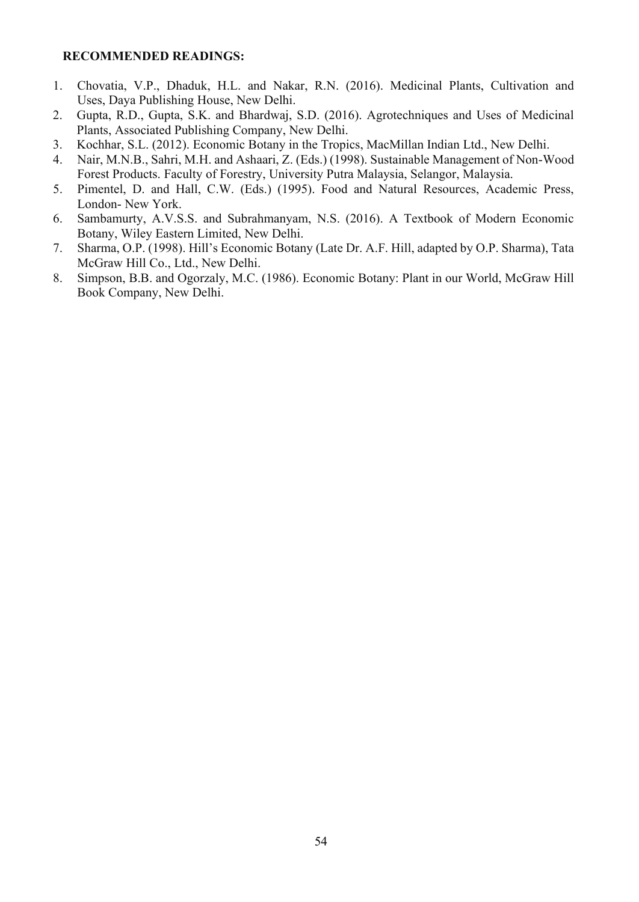- 1. Chovatia, V.P., Dhaduk, H.L. and Nakar, R.N. (2016). Medicinal Plants, Cultivation and Uses, Daya Publishing House, New Delhi.
- 2. Gupta, R.D., Gupta, S.K. and Bhardwaj, S.D. (2016). Agrotechniques and Uses of Medicinal Plants, Associated Publishing Company, New Delhi.
- 3. Kochhar, S.L. (2012). Economic Botany in the Tropics, MacMillan Indian Ltd., New Delhi.
- 4. Nair, M.N.B., Sahri, M.H. and Ashaari, Z. (Eds.) (1998). Sustainable Management of Non-Wood Forest Products. Faculty of Forestry, University Putra Malaysia, Selangor, Malaysia.
- 5. Pimentel, D. and Hall, C.W. (Eds.) (1995). Food and Natural Resources, Academic Press, London- New York.
- 6. Sambamurty, A.V.S.S. and Subrahmanyam, N.S. (2016). A Textbook of Modern Economic Botany, Wiley Eastern Limited, New Delhi.
- 7. Sharma, O.P. (1998). Hill's Economic Botany (Late Dr. A.F. Hill, adapted by O.P. Sharma), Tata McGraw Hill Co., Ltd., New Delhi.
- 8. Simpson, B.B. and Ogorzaly, M.C. (1986). Economic Botany: Plant in our World, McGraw Hill Book Company, New Delhi.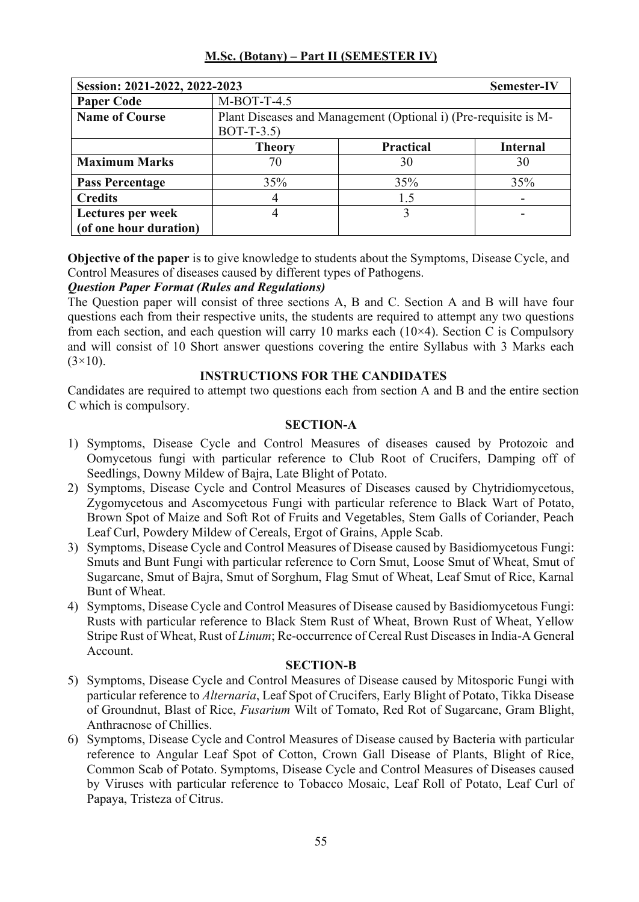| Session: 2021-2022, 2022-2023 |                                                                                |                  | Semester-IV     |
|-------------------------------|--------------------------------------------------------------------------------|------------------|-----------------|
| <b>Paper Code</b>             | $M-BOT-T-4.5$                                                                  |                  |                 |
| <b>Name of Course</b>         | Plant Diseases and Management (Optional i) (Pre-requisite is M-<br>$BOT-T-3.5$ |                  |                 |
|                               | <b>Theory</b>                                                                  | <b>Practical</b> | <b>Internal</b> |
| <b>Maximum Marks</b>          | 70                                                                             | 30               | 30              |
| <b>Pass Percentage</b>        | 35%                                                                            | 35%              | 35%             |
| <b>Credits</b>                | 4                                                                              | 1.5              |                 |
| Lectures per week             | 4                                                                              |                  | ۰               |
| (of one hour duration)        |                                                                                |                  |                 |

**Objective of the paper** is to give knowledge to students about the Symptoms, Disease Cycle, and Control Measures of diseases caused by different types of Pathogens.

## *Question Paper Format (Rules and Regulations)*

The Question paper will consist of three sections A, B and C. Section A and B will have four questions each from their respective units, the students are required to attempt any two questions from each section, and each question will carry 10 marks each  $(10\times4)$ . Section C is Compulsory and will consist of 10 Short answer questions covering the entire Syllabus with 3 Marks each  $(3\times10)$ .

## **INSTRUCTIONS FOR THE CANDIDATES**

Candidates are required to attempt two questions each from section A and B and the entire section C which is compulsory.

#### **SECTION-A**

- 1) Symptoms, Disease Cycle and Control Measures of diseases caused by Protozoic and Oomycetous fungi with particular reference to Club Root of Crucifers, Damping off of Seedlings, Downy Mildew of Bajra, Late Blight of Potato.
- 2) Symptoms, Disease Cycle and Control Measures of Diseases caused by Chytridiomycetous, Zygomycetous and Ascomycetous Fungi with particular reference to Black Wart of Potato, Brown Spot of Maize and Soft Rot of Fruits and Vegetables, Stem Galls of Coriander, Peach Leaf Curl, Powdery Mildew of Cereals, Ergot of Grains, Apple Scab.
- 3) Symptoms, Disease Cycle and Control Measures of Disease caused by Basidiomycetous Fungi: Smuts and Bunt Fungi with particular reference to Corn Smut, Loose Smut of Wheat, Smut of Sugarcane, Smut of Bajra, Smut of Sorghum, Flag Smut of Wheat, Leaf Smut of Rice, Karnal Bunt of Wheat.
- 4) Symptoms, Disease Cycle and Control Measures of Disease caused by Basidiomycetous Fungi: Rusts with particular reference to Black Stem Rust of Wheat, Brown Rust of Wheat, Yellow Stripe Rust of Wheat, Rust of *Linum*; Re-occurrence of Cereal Rust Diseases in India-A General Account.

- 5) Symptoms, Disease Cycle and Control Measures of Disease caused by Mitosporic Fungi with particular reference to *Alternaria*, Leaf Spot of Crucifers, Early Blight of Potato, Tikka Disease of Groundnut, Blast of Rice, *Fusarium* Wilt of Tomato, Red Rot of Sugarcane, Gram Blight, Anthracnose of Chillies.
- 6) Symptoms, Disease Cycle and Control Measures of Disease caused by Bacteria with particular reference to Angular Leaf Spot of Cotton, Crown Gall Disease of Plants, Blight of Rice, Common Scab of Potato. Symptoms, Disease Cycle and Control Measures of Diseases caused by Viruses with particular reference to Tobacco Mosaic, Leaf Roll of Potato, Leaf Curl of Papaya, Tristeza of Citrus.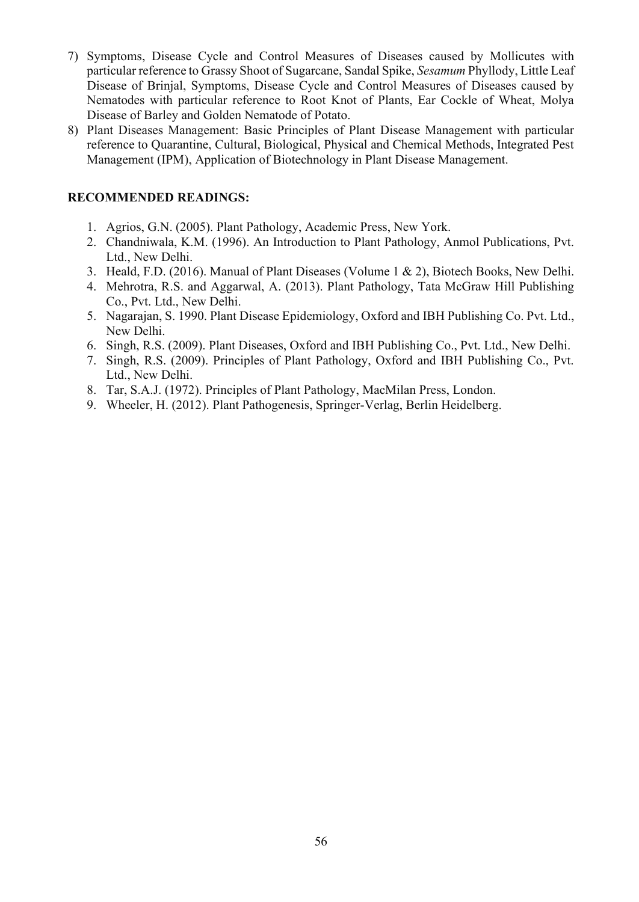- 7) Symptoms, Disease Cycle and Control Measures of Diseases caused by Mollicutes with particular reference to Grassy Shoot of Sugarcane, Sandal Spike, *Sesamum* Phyllody, Little Leaf Disease of Brinjal, Symptoms, Disease Cycle and Control Measures of Diseases caused by Nematodes with particular reference to Root Knot of Plants, Ear Cockle of Wheat, Molya Disease of Barley and Golden Nematode of Potato.
- 8) Plant Diseases Management: Basic Principles of Plant Disease Management with particular reference to Quarantine, Cultural, Biological, Physical and Chemical Methods, Integrated Pest Management (IPM), Application of Biotechnology in Plant Disease Management.

- 1. Agrios, G.N. (2005). Plant Pathology, Academic Press, New York.
- 2. Chandniwala, K.M. (1996). An Introduction to Plant Pathology, Anmol Publications, Pvt. Ltd., New Delhi.
- 3. Heald, F.D. (2016). Manual of Plant Diseases (Volume 1 & 2), Biotech Books, New Delhi.
- 4. Mehrotra, R.S. and Aggarwal, A. (2013). Plant Pathology, Tata McGraw Hill Publishing Co., Pvt. Ltd., New Delhi.
- 5. Nagarajan, S. 1990. Plant Disease Epidemiology, Oxford and IBH Publishing Co. Pvt. Ltd., New Delhi.
- 6. Singh, R.S. (2009). Plant Diseases, Oxford and IBH Publishing Co., Pvt. Ltd., New Delhi.
- 7. Singh, R.S. (2009). Principles of Plant Pathology, Oxford and IBH Publishing Co., Pvt. Ltd., New Delhi.
- 8. Tar, S.A.J. (1972). Principles of Plant Pathology, MacMilan Press, London.
- 9. Wheeler, H. (2012). Plant Pathogenesis, Springer-Verlag, Berlin Heidelberg.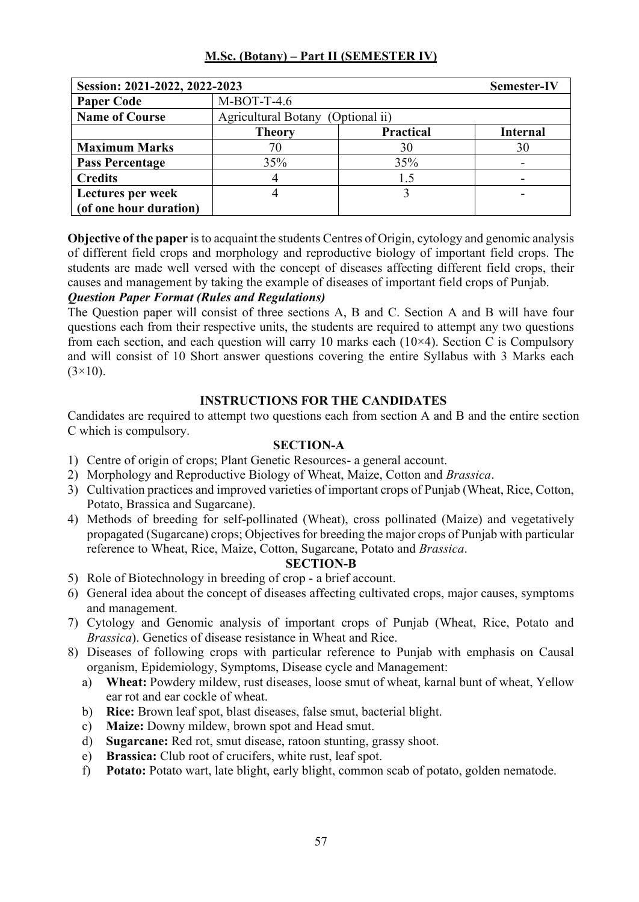| Session: 2021-2022, 2022-2023 |                                             |                  | <b>Semester-IV</b> |
|-------------------------------|---------------------------------------------|------------------|--------------------|
| <b>Paper Code</b>             | $M-BOT-T-4.6$                               |                  |                    |
| <b>Name of Course</b>         | <b>Agricultural Botany</b><br>(Optional ii) |                  |                    |
|                               | <b>Theory</b>                               | <b>Practical</b> | <b>Internal</b>    |
| <b>Maximum Marks</b>          | 70                                          | 30               | 30                 |
| <b>Pass Percentage</b>        | 35%                                         | 35%              |                    |
| <b>Credits</b>                | 4                                           | 1.5              |                    |
| Lectures per week             | 4                                           |                  |                    |
| (of one hour duration)        |                                             |                  |                    |

**Objective of the paper** is to acquaint the students Centres of Origin, cytology and genomic analysis of different field crops and morphology and reproductive biology of important field crops. The students are made well versed with the concept of diseases affecting different field crops, their causes and management by taking the example of diseases of important field crops of Punjab.

## *Question Paper Format (Rules and Regulations)*

The Question paper will consist of three sections A, B and C. Section A and B will have four questions each from their respective units, the students are required to attempt any two questions from each section, and each question will carry 10 marks each  $(10\times4)$ . Section C is Compulsory and will consist of 10 Short answer questions covering the entire Syllabus with 3 Marks each  $(3\times10)$ .

## **INSTRUCTIONS FOR THE CANDIDATES**

Candidates are required to attempt two questions each from section A and B and the entire section C which is compulsory.

## **SECTION-A**

- 1) Centre of origin of crops; Plant Genetic Resources- a general account.
- 2) Morphology and Reproductive Biology of Wheat, Maize, Cotton and *Brassica*.
- 3) Cultivation practices and improved varieties of important crops of Punjab (Wheat, Rice, Cotton, Potato, Brassica and Sugarcane).
- 4) Methods of breeding for self-pollinated (Wheat), cross pollinated (Maize) and vegetatively propagated (Sugarcane) crops; Objectives for breeding the major crops of Punjab with particular reference to Wheat, Rice, Maize, Cotton, Sugarcane, Potato and *Brassica*.

- 5) Role of Biotechnology in breeding of crop a brief account.
- 6) General idea about the concept of diseases affecting cultivated crops, major causes, symptoms and management.
- 7) Cytology and Genomic analysis of important crops of Punjab (Wheat, Rice, Potato and *Brassica*). Genetics of disease resistance in Wheat and Rice.
- 8) Diseases of following crops with particular reference to Punjab with emphasis on Causal organism, Epidemiology, Symptoms, Disease cycle and Management:
	- a) **Wheat:** Powdery mildew, rust diseases, loose smut of wheat, karnal bunt of wheat, Yellow ear rot and ear cockle of wheat.
	- b) **Rice:** Brown leaf spot, blast diseases, false smut, bacterial blight.
	- c) **Maize:** Downy mildew, brown spot and Head smut.
	- d) **Sugarcane:** Red rot, smut disease, ratoon stunting, grassy shoot.
	- e) **Brassica:** Club root of crucifers, white rust, leaf spot.
	- f) **Potato:** Potato wart, late blight, early blight, common scab of potato, golden nematode.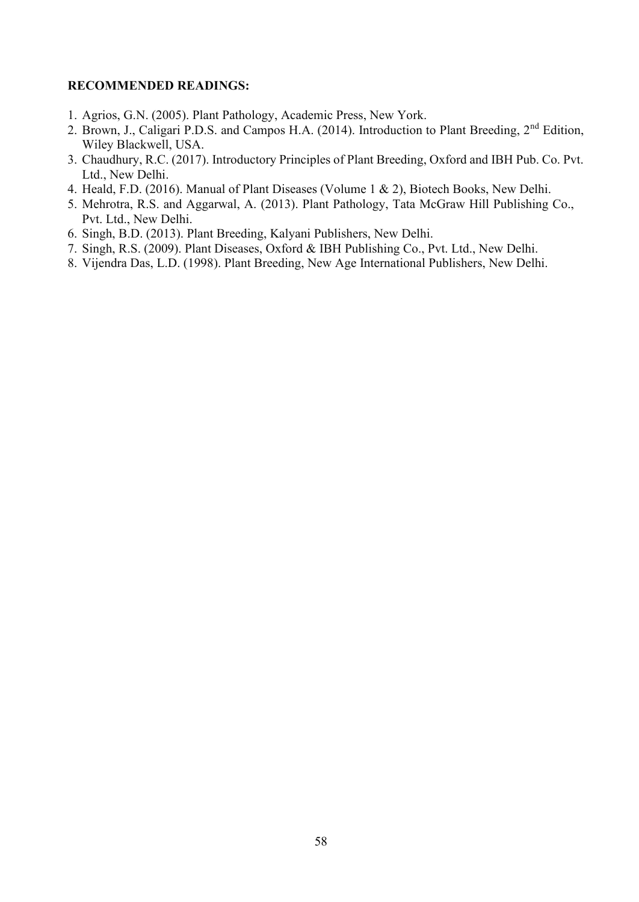- 1. Agrios, G.N. (2005). Plant Pathology, Academic Press, New York.
- 2. Brown, J., Caligari P.D.S. and Campos H.A. (2014). Introduction to Plant Breeding, 2<sup>nd</sup> Edition, Wiley Blackwell, USA.
- 3. Chaudhury, R.C. (2017). Introductory Principles of Plant Breeding, Oxford and IBH Pub. Co. Pvt. Ltd., New Delhi.
- 4. Heald, F.D. (2016). Manual of Plant Diseases (Volume 1 & 2), Biotech Books, New Delhi.
- 5. Mehrotra, R.S. and Aggarwal, A. (2013). Plant Pathology, Tata McGraw Hill Publishing Co., Pvt. Ltd., New Delhi.
- 6. Singh, B.D. (2013). Plant Breeding, Kalyani Publishers, New Delhi.
- 7. Singh, R.S. (2009). Plant Diseases, Oxford & IBH Publishing Co., Pvt. Ltd., New Delhi.
- 8. Vijendra Das, L.D. (1998). Plant Breeding, New Age International Publishers, New Delhi.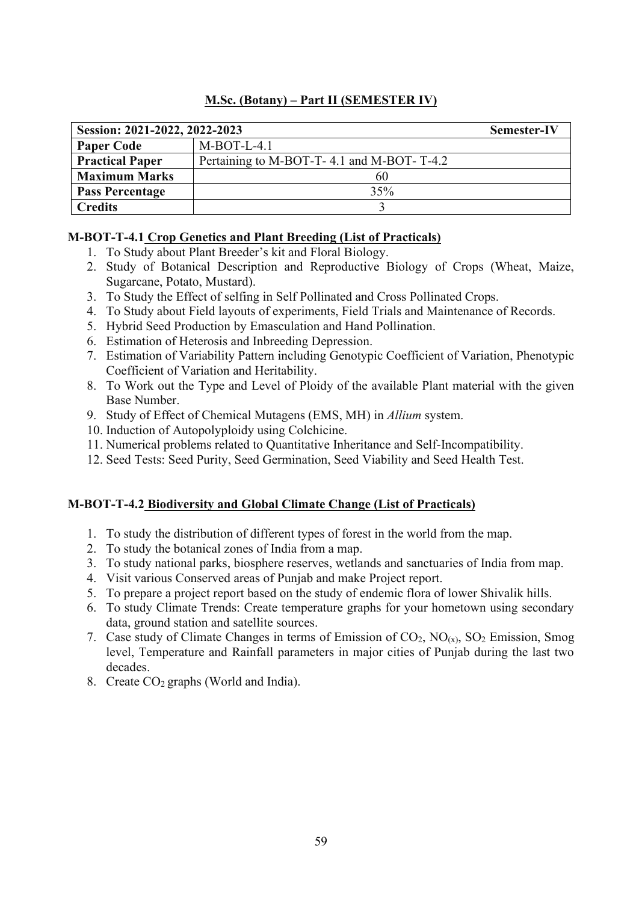| Session: 2021-2022, 2022-2023 |                                           | Semester-IV |
|-------------------------------|-------------------------------------------|-------------|
| <b>Paper Code</b>             | $M-BOT-L-4.1$                             |             |
| <b>Practical Paper</b>        | Pertaining to M-BOT-T-4.1 and M-BOT-T-4.2 |             |
| <b>Maximum Marks</b>          | 60                                        |             |
| <b>Pass Percentage</b>        | 35%                                       |             |
| <b>Credits</b>                |                                           |             |

## **M-BOT-T-4.1 Crop Genetics and Plant Breeding (List of Practicals)**

- 1. To Study about Plant Breeder's kit and Floral Biology.
- 2. Study of Botanical Description and Reproductive Biology of Crops (Wheat, Maize, Sugarcane, Potato, Mustard).
- 3. To Study the Effect of selfing in Self Pollinated and Cross Pollinated Crops.
- 4. To Study about Field layouts of experiments, Field Trials and Maintenance of Records.
- 5. Hybrid Seed Production by Emasculation and Hand Pollination.
- 6. Estimation of Heterosis and Inbreeding Depression.
- 7. Estimation of Variability Pattern including Genotypic Coefficient of Variation, Phenotypic Coefficient of Variation and Heritability.
- 8. To Work out the Type and Level of Ploidy of the available Plant material with the given Base Number.
- 9. Study of Effect of Chemical Mutagens (EMS, MH) in *Allium* system.
- 10. Induction of Autopolyploidy using Colchicine.
- 11. Numerical problems related to Quantitative Inheritance and Self-Incompatibility.
- 12. Seed Tests: Seed Purity, Seed Germination, Seed Viability and Seed Health Test.

# **M-BOT-T-4.2 Biodiversity and Global Climate Change (List of Practicals)**

- 1. To study the distribution of different types of forest in the world from the map.
- 2. To study the botanical zones of India from a map.
- 3. To study national parks, biosphere reserves, wetlands and sanctuaries of India from map.
- 4. Visit various Conserved areas of Punjab and make Project report.
- 5. To prepare a project report based on the study of endemic flora of lower Shivalik hills.
- 6. To study Climate Trends: Create temperature graphs for your hometown using secondary data, ground station and satellite sources.
- 7. Case study of Climate Changes in terms of Emission of  $CO_2$ ,  $NO_{(x)}$ ,  $SO_2$  Emission, Smog level, Temperature and Rainfall parameters in major cities of Punjab during the last two decades.
- 8. Create  $CO<sub>2</sub>$  graphs (World and India).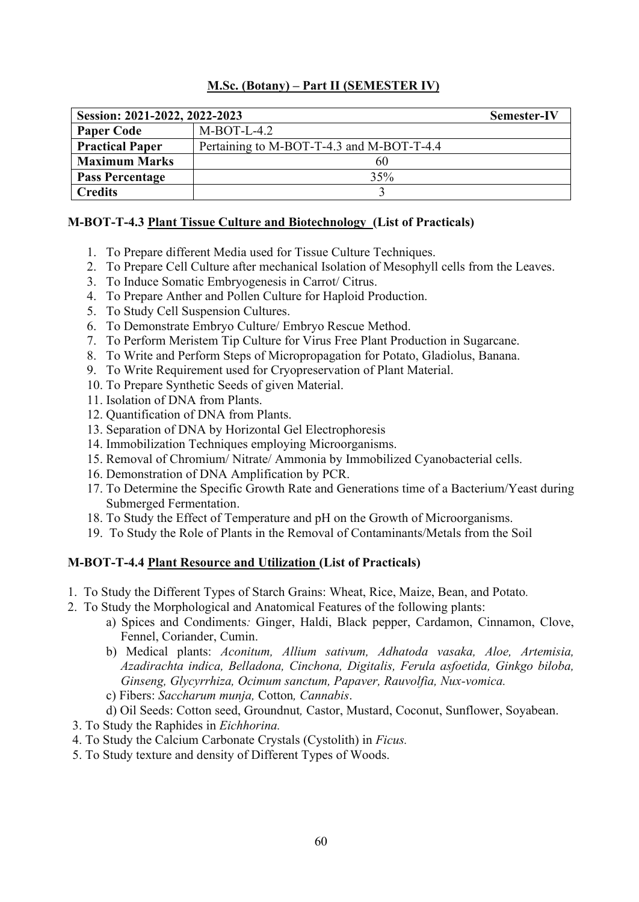| Session: 2021-2022, 2022-2023 |                                           | Semester-IV |
|-------------------------------|-------------------------------------------|-------------|
| <b>Paper Code</b>             | $M-BOT-L-4.2$                             |             |
| <b>Practical Paper</b>        | Pertaining to M-BOT-T-4.3 and M-BOT-T-4.4 |             |
| <b>Maximum Marks</b>          | 60                                        |             |
| <b>Pass Percentage</b>        | 35%                                       |             |
| <b>Credits</b>                |                                           |             |

## **M-BOT-T-4.3 Plant Tissue Culture and Biotechnology (List of Practicals)**

- 1. To Prepare different Media used for Tissue Culture Techniques.
- 2. To Prepare Cell Culture after mechanical Isolation of Mesophyll cells from the Leaves.
- 3. To Induce Somatic Embryogenesis in Carrot/ Citrus.
- 4. To Prepare Anther and Pollen Culture for Haploid Production.
- 5. To Study Cell Suspension Cultures.
- 6. To Demonstrate Embryo Culture/ Embryo Rescue Method.
- 7. To Perform Meristem Tip Culture for Virus Free Plant Production in Sugarcane.
- 8. To Write and Perform Steps of Micropropagation for Potato, Gladiolus, Banana.
- 9. To Write Requirement used for Cryopreservation of Plant Material.
- 10. To Prepare Synthetic Seeds of given Material.
- 11. Isolation of DNA from Plants.
- 12. Quantification of DNA from Plants.
- 13. Separation of DNA by Horizontal Gel Electrophoresis
- 14. Immobilization Techniques employing Microorganisms.
- 15. Removal of Chromium/ Nitrate/ Ammonia by Immobilized Cyanobacterial cells.
- 16. Demonstration of DNA Amplification by PCR.
- 17. To Determine the Specific Growth Rate and Generations time of a Bacterium/Yeast during Submerged Fermentation.
- 18. To Study the Effect of Temperature and pH on the Growth of Microorganisms.
- 19. To Study the Role of Plants in the Removal of Contaminants/Metals from the Soil

## **M-BOT-T-4.4 Plant Resource and Utilization (List of Practicals)**

- 1. To Study the Different Types of Starch Grains: Wheat, Rice, Maize, Bean, and Potato*.*
- 2. To Study the Morphological and Anatomical Features of the following plants:
	- a) Spices and Condiments*:* Ginger, Haldi, Black pepper, Cardamon, Cinnamon, Clove, Fennel, Coriander, Cumin.
	- b) Medical plants: *Aconitum, Allium sativum, Adhatoda vasaka, Aloe, Artemisia, Azadirachta indica, Belladona, Cinchona, Digitalis, Ferula asfoetida, Ginkgo biloba, Ginseng, Glycyrrhiza, Ocimum sanctum, Papaver, Rauvolfia, Nux-vomica.*
	- c) Fibers: *Saccharum munja,* Cotton*, Cannabis*.
	- d) Oil Seeds: Cotton seed, Groundnut*,* Castor, Mustard, Coconut, Sunflower, Soyabean.
- 3. To Study the Raphides in *Eichhorina.*
- 4. To Study the Calcium Carbonate Crystals (Cystolith) in *Ficus.*
- 5. To Study texture and density of Different Types of Woods.